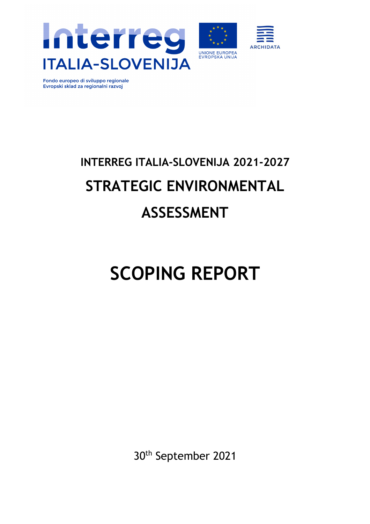



Fondo europeo di sviluppo regionale Evropski sklad za regionalni razvoj

# **INTERREG ITALIA-SLOVENIJA 2021-2027 STRATEGIC ENVIRONMENTAL ASSESSMENT**

# **SCOPING REPORT**

30th September 2021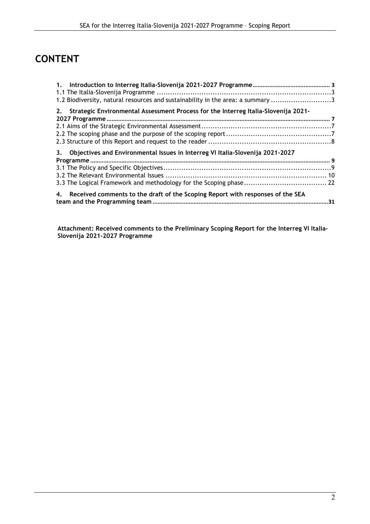# **CONTENT**

| 1.2 Biodiversity, natural resources and sustainability in the area: a summary 3       |  |
|---------------------------------------------------------------------------------------|--|
| 2. Strategic Environmental Assessment Process for the Interreg Italia-Slovenija 2021- |  |
|                                                                                       |  |
|                                                                                       |  |
|                                                                                       |  |
|                                                                                       |  |
| 3. Objectives and Environmental Issues in Interreg VI Italia-Slovenija 2021-2027      |  |
|                                                                                       |  |
|                                                                                       |  |
|                                                                                       |  |
|                                                                                       |  |
| 4. Received comments to the draft of the Scoping Report with responses of the SEA     |  |
|                                                                                       |  |

**Attachment: Received comments to the Preliminary Scoping Report for the Interreg VI Italia-Slovenija 2021-2027 Programme**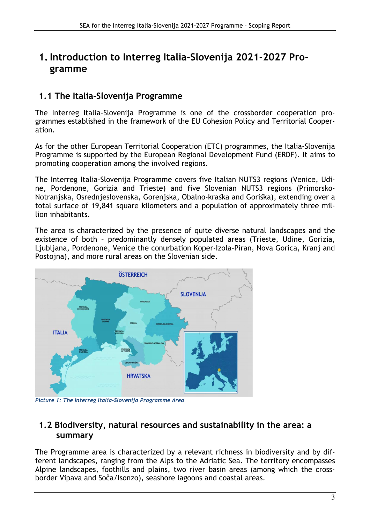# **1.Introduction to Interreg Italia-Slovenija 2021-2027 Programme**

## **1.1 The Italia-Slovenija Programme**

The Interreg Italia-Slovenija Programme is one of the crossborder cooperation programmes established in the framework of the EU Cohesion Policy and Territorial Cooperation.

As for the other European Territorial Cooperation (ETC) programmes, the Italia-Slovenija Programme is supported by the European Regional Development Fund (ERDF). It aims to promoting cooperation among the involved regions.

The Interreg Italia-Slovenija Programme covers five Italian NUTS3 regions (Venice, Udine, Pordenone, Gorizia and Trieste) and five Slovenian NUTS3 regions (Primorsko-Notranjska, Osrednjeslovenska, Gorenjska, Obalno-kraška and Goriška), extending over a total surface of 19,841 square kilometers and a population of approximately three million inhabitants.

The area is characterized by the presence of quite diverse natural landscapes and the existence of both – predominantly densely populated areas (Trieste, Udine, Gorizia, Ljubljana, Pordenone, Venice the conurbation Koper-Izola-Piran, Nova Gorica, Kranj and Postojna), and more rural areas on the Slovenian side.



*Picture 1: The Interreg Italia-Slovenija Programme Area*

### **1.2 Biodiversity, natural resources and sustainability in the area: a summary**

The Programme area is characterized by a relevant richness in biodiversity and by different landscapes, ranging from the Alps to the Adriatic Sea. The territory encompasses Alpine landscapes, foothills and plains, two river basin areas (among which the crossborder Vipava and Soča/Isonzo), seashore lagoons and coastal areas.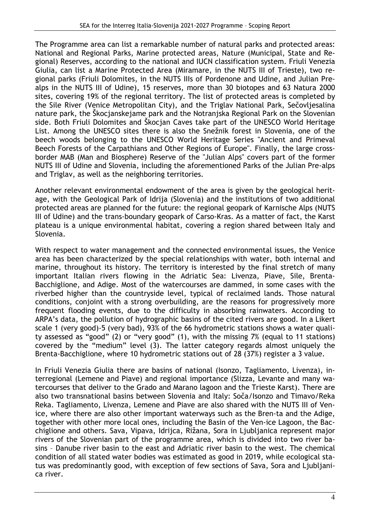The Programme area can list a remarkable number of natural parks and protected areas: National and Regional Parks, Marine protected areas, Nature (Municipal, State and Regional) Reserves, according to the national and IUCN classification system. Friuli Venezia Giulia, can list a Marine Protected Area (Miramare, in the NUTS III of Trieste), two regional parks (Friuli Dolomites, in the NUTS IIIs of Pordenone and Udine, and Julian Prealps in the NUTS III of Udine), 15 reserves, more than 30 biotopes and 63 Natura 2000 sites, covering 19% of the regional territory. The list of protected areas is completed by the Sile River (Venice Metropolitan City), and the Triglav National Park, Sečovljesalina nature park, the Škocjanskejame park and the Notranjska Regional Park on the Slovenian side. Both Friuli Dolomites and Škocjan Caves take part of the UNESCO World Heritage List. Among the UNESCO sites there is also the Snežnik forest in Slovenia, one of the beech woods belonging to the UNESCO World Heritage Series "Ancient and Primeval Beech Forests of the Carpathians and Other Regions of Europe". Finally, the large crossborder MAB (Man and Biosphere) Reserve of the "Julian Alps" covers part of the former NUTS III of Udine and Slovenia, including the aforementioned Parks of the Julian Pre-alps and Triglav, as well as the neighboring territories.

Another relevant environmental endowment of the area is given by the geological heritage, with the Geological Park of Idrija (Slovenia) and the institutions of two additional protected areas are planned for the future: the regional geopark of Karnische Alps (NUTS III of Udine) and the trans-boundary geopark of Carso-Kras. As a matter of fact, the Karst plateau is a unique environmental habitat, covering a region shared between Italy and Slovenia.

With respect to water management and the connected environmental issues, the Venice area has been characterized by the special relationships with water, both internal and marine, throughout its history. The territory is interested by the final stretch of many important Italian rivers flowing in the Adriatic Sea: Livenza, Piave, Sile, Brenta-Bacchiglione, and Adige. Most of the watercourses are dammed, in some cases with the riverbed higher than the countryside level, typical of reclaimed lands. Those natural conditions, conjoint with a strong overbuilding, are the reasons for progressively more frequent flooding events, due to the difficulty in absorbing rainwaters. According to ARPA's data, the pollution of hydrographic basins of the cited rivers are good. In a Likert scale 1 (very good)-5 (very bad), 93% of the 66 hydrometric stations shows a water quality assessed as "good" (2) or "very good" (1), with the missing 7% (equal to 11 stations) covered by the "medium" level (3). The latter category regards almost uniquely the Brenta-Bacchiglione, where 10 hydrometric stations out of 28 (37%) register a 3 value.

In Friuli Venezia Giulia there are basins of national (Isonzo, Tagliamento, Livenza), interregional (Lemene and Piave) and regional importance (Slizza, Levante and many watercourses that deliver to the Grado and Marano lagoon and the Trieste Karst). There are also two transnational basins between Slovenia and Italy: Soča/Isonzo and Timavo/Reka Reka. Tagliamento, Livenza, Lemene and Piave are also shared with the NUTS III of Venice, where there are also other important waterways such as the Bren-ta and the Adige, together with other more local ones, including the Basin of the Ven-ice Lagoon, the Bacchiglione and others. Sava, Vipava, Idrijca, Rižana, Sora in Ljubljanica represent major rivers of the Slovenian part of the programme area, which is divided into two river basins – Danube river basin to the east and Adriatic river basin to the west. The chemical condition of all stated water bodies was estimated as good in 2019, while ecological status was predominantly good, with exception of few sections of Sava, Sora and Ljubljanica river.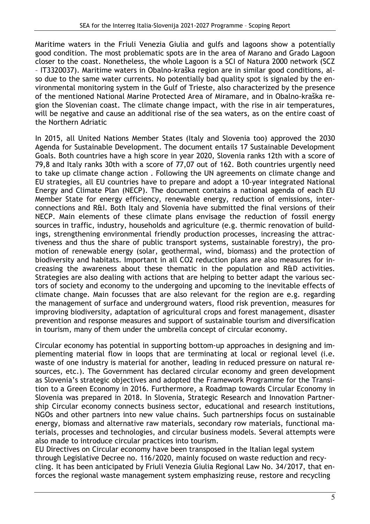Maritime waters in the Friuli Venezia Giulia and gulfs and lagoons show a potentially good condition. The most problematic spots are in the area of Marano and Grado Lagoon closer to the coast. Nonetheless, the whole Lagoon is a SCI of Natura 2000 network (SCZ – IT3320037). Maritime waters in Obalno-kraška region are in similar good conditions, also due to the same water currents. No potentially bad quality spot is signaled by the environmental monitoring system in the Gulf of Trieste, also characterized by the presence of the mentioned National Marine Protected Area of Miramare, and in Obalno-kraška region the Slovenian coast. The climate change impact, with the rise in air temperatures, will be negative and cause an additional rise of the sea waters, as on the entire coast of the Northern Adriatic

In 2015, all United Nations Member States (Italy and Slovenia too) approved the 2030 Agenda for Sustainable Development. The document entails 17 Sustainable Development Goals. Both countries have a high score in year 2020, Slovenia ranks 12th with a score of 79,8 and Italy ranks 30th with a score of 77,07 out of 162. Both countries urgently need to take up climate change action . Following the UN agreements on climate change and EU strategies, all EU countries have to prepare and adopt a 10-year integrated National Energy and Climate Plan (NECP). The document contains a national agenda of each EU Member State for energy efficiency, renewable energy, reduction of emissions, interconnections and R&I. Both Italy and Slovenia have submitted the final versions of their NECP. Main elements of these climate plans envisage the reduction of fossil energy sources in traffic, industry, households and agriculture (e.g. thermic renovation of buildings, strengthening environmental friendly production processes, increasing the attractiveness and thus the share of public transport systems, sustainable forestry), the promotion of renewable energy (solar, geothermal, wind, biomass) and the protection of biodiversity and habitats. Important in all CO2 reduction plans are also measures for increasing the awareness about these thematic in the population and R&D activities. Strategies are also dealing with actions that are helping to better adapt the various sectors of society and economy to the undergoing and upcoming to the inevitable effects of climate change. Main focusses that are also relevant for the region are e.g. regarding the management of surface and underground waters, flood risk prevention, measures for improving biodiversity, adaptation of agricultural crops and forest management, disaster prevention and response measures and support of sustainable tourism and diversification in tourism, many of them under the umbrella concept of circular economy.

Circular economy has potential in supporting bottom-up approaches in designing and implementing material flow in loops that are terminating at local or regional level (i.e. waste of one industry is material for another, leading in reduced pressure on natural resources, etc.). The Government has declared circular economy and green development as Slovenia's strategic objectives and adopted the Framework Programme for the Transition to a Green Economy in 2016. Furthermore, a Roadmap towards Circular Economy in Slovenia was prepared in 2018. In Slovenia, Strategic Research and Innovation Partnership Circular economy connects business sector, educational and research institutions, NGOs and other partners into new value chains. Such partnerships focus on sustainable energy, biomass and alternative raw materials, secondary row materials, functional materials, processes and technologies, and circular business models. Several attempts were also made to introduce circular practices into tourism.

EU Directives on Circular economy have been transposed in the Italian legal system through Legislative Decree no. 116/2020, mainly focused on waste reduction and recycling. It has been anticipated by Friuli Venezia Giulia Regional Law No. 34/2017, that enforces the regional waste management system emphasizing reuse, restore and recycling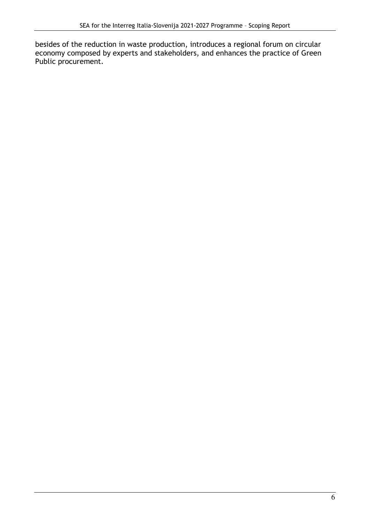besides of the reduction in waste production, introduces a regional forum on circular economy composed by experts and stakeholders, and enhances the practice of Green Public procurement.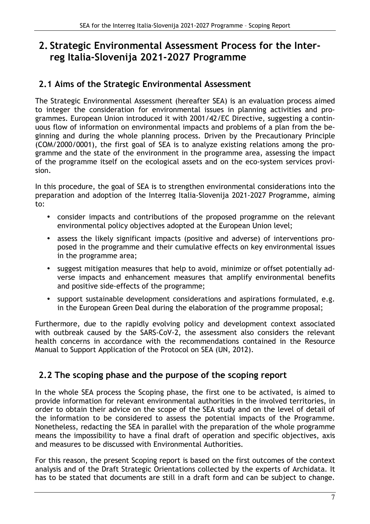# **2. Strategic Environmental Assessment Process for the Interreg Italia-Slovenija 2021-2027 Programme**

## **2.1 Aims of the Strategic Environmental Assessment**

The Strategic Environmental Assessment (hereafter SEA) is an evaluation process aimed to integer the consideration for environmental issues in planning activities and programmes. European Union introduced it with 2001/42/EC Directive, suggesting a continuous flow of information on environmental impacts and problems of a plan from the beginning and during the whole planning process. Driven by the Precautionary Principle (COM/2000/0001), the first goal of SEA is to analyze existing relations among the programme and the state of the environment in the programme area, assessing the impact of the programme itself on the ecological assets and on the eco-system services provision.

In this procedure, the goal of SEA is to strengthen environmental considerations into the preparation and adoption of the Interreg Italia-Slovenija 2021-2027 Programme, aiming to:

- consider impacts and contributions of the proposed programme on the relevant environmental policy objectives adopted at the European Union level;
- assess the likely significant impacts (positive and adverse) of interventions proposed in the programme and their cumulative effects on key environmental issues in the programme area;
- suggest mitigation measures that help to avoid, minimize or offset potentially adverse impacts and enhancement measures that amplify environmental benefits and positive side-effects of the programme;
- support sustainable development considerations and aspirations formulated, e.g. in the European Green Deal during the elaboration of the programme proposal;

Furthermore, due to the rapidly evolving policy and development context associated with outbreak caused by the SARS-CoV-2, the assessment also considers the relevant health concerns in accordance with the recommendations contained in the Resource Manual to Support Application of the Protocol on SEA (UN, 2012).

## **2.2 The scoping phase and the purpose of the scoping report**

In the whole SEA process the Scoping phase, the first one to be activated, is aimed to provide information for relevant environmental authorities in the involved territories, in order to obtain their advice on the scope of the SEA study and on the level of detail of the information to be considered to assess the potential impacts of the Programme. Nonetheless, redacting the SEA in parallel with the preparation of the whole programme means the impossibility to have a final draft of operation and specific objectives, axis and measures to be discussed with Environmental Authorities.

For this reason, the present Scoping report is based on the first outcomes of the context analysis and of the Draft Strategic Orientations collected by the experts of Archidata. It has to be stated that documents are still in a draft form and can be subject to change.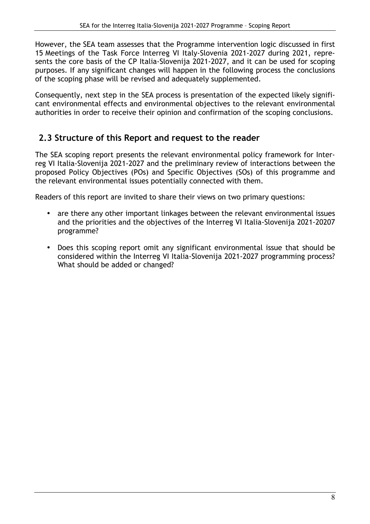However, the SEA team assesses that the Programme intervention logic discussed in first 15 Meetings of the Task Force Interreg VI Italy-Slovenia 2021-2027 during 2021, represents the core basis of the CP Italia-Slovenija 2021-2027, and it can be used for scoping purposes. If any significant changes will happen in the following process the conclusions of the scoping phase will be revised and adequately supplemented.

Consequently, next step in the SEA process is presentation of the expected likely significant environmental effects and environmental objectives to the relevant environmental authorities in order to receive their opinion and confirmation of the scoping conclusions.

## **2.3 Structure of this Report and request to the reader**

The SEA scoping report presents the relevant environmental policy framework for Interreg VI Italia-Slovenija 2021-2027 and the preliminary review of interactions between the proposed Policy Objectives (POs) and Specific Objectives (SOs) of this programme and the relevant environmental issues potentially connected with them.

Readers of this report are invited to share their views on two primary questions:

- are there any other important linkages between the relevant environmental issues and the priorities and the objectives of the Interreg VI Italia-Slovenija 2021-20207 programme?
- Does this scoping report omit any significant environmental issue that should be considered within the Interreg VI Italia-Slovenija 2021-2027 programming process? What should be added or changed?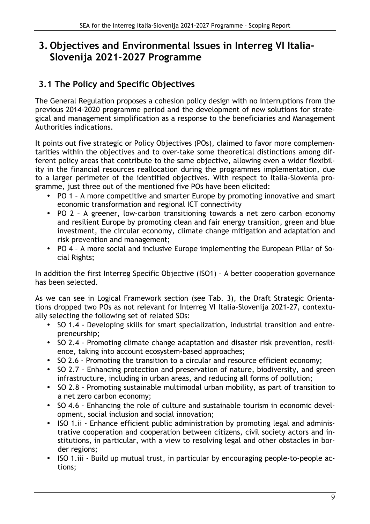## **3. Objectives and Environmental Issues in Interreg VI Italia-Slovenija 2021-2027 Programme**

## **3.1 The Policy and Specific Objectives**

The General Regulation proposes a cohesion policy design with no interruptions from the previous 2014-2020 programme period and the development of new solutions for strategical and management simplification as a response to the beneficiaries and Management Authorities indications.

It points out five strategic or Policy Objectives (POs), claimed to favor more complementarities within the objectives and to over-take some theoretical distinctions among different policy areas that contribute to the same objective, allowing even a wider flexibility in the financial resources reallocation during the programmes implementation, due to a larger perimeter of the identified objectives. With respect to Italia-Slovenia programme, just three out of the mentioned five POs have been elicited:

- PO 1 A more competitive and smarter Europe by promoting innovative and smart economic transformation and regional ICT connectivity
- PO 2 A greener, low-carbon transitioning towards a net zero carbon economy and resilient Europe by promoting clean and fair energy transition, green and blue investment, the circular economy, climate change mitigation and adaptation and risk prevention and management;
- PO 4 A more social and inclusive Europe implementing the European Pillar of Social Rights;

In addition the first Interreg Specific Objective (ISO1) – A better cooperation governance has been selected.

As we can see in Logical Framework section (see Tab. 3), the Draft Strategic Orientations dropped two POs as not relevant for Interreg VI Italia-Slovenija 2021-27, contextually selecting the following set of related SOs:

- SO 1.4 Developing skills for smart specialization, industrial transition and entrepreneurship;
- SO 2.4 Promoting climate change adaptation and disaster risk prevention, resilience, taking into account ecosystem-based approaches;
- SO 2.6 Promoting the transition to a circular and resource efficient economy;
- SO 2.7 Enhancing protection and preservation of nature, biodiversity, and green infrastructure, including in urban areas, and reducing all forms of pollution;
- SO 2.8 Promoting sustainable multimodal urban mobility, as part of transition to a net zero carbon economy;
- SO 4.6 Enhancing the role of culture and sustainable tourism in economic development, social inclusion and social innovation;
- ISO 1.ii Enhance efficient public administration by promoting legal and administrative cooperation and cooperation between citizens, civil society actors and institutions, in particular, with a view to resolving legal and other obstacles in border regions;
- ISO 1.iii Build up mutual trust, in particular by encouraging people-to-people actions;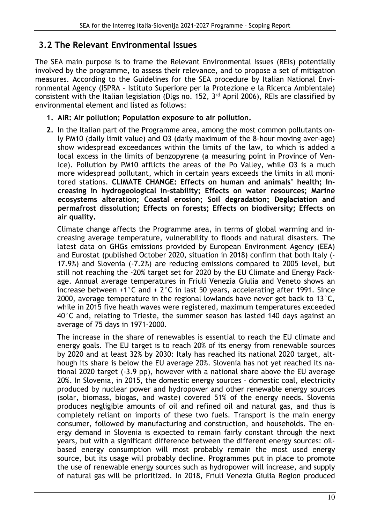## **3.2 The Relevant Environmental Issues**

The SEA main purpose is to frame the Relevant Environmental Issues (REIs) potentially involved by the programme, to assess their relevance, and to propose a set of mitigation measures. According to the Guidelines for the SEA procedure by Italian National Environmental Agency (ISPRA - Istituto Superiore per la Protezione e la Ricerca Ambientale) consistent with the Italian legislation (Dlgs no. 152, 3rd April 2006), REIs are classified by environmental element and listed as follows:

#### **1. AIR: Air pollution; Population exposure to air pollution.**

**2.** In the Italian part of the Programme area, among the most common pollutants only PM10 (daily limit value) and O3 (daily maximum of the 8-hour moving aver-age) show widespread exceedances within the limits of the law, to which is added a local excess in the limits of benzopyrene (a measuring point in Province of Venice). Pollution by PM10 afflicts the areas of the Po Valley, while O3 is a much more widespread pollutant, which in certain years exceeds the limits in all monitored stations. **CLIMATE CHANGE: Effects on human and animals' health; Increasing in hydrogeological in-stability; Effects on water resources; Marine ecosystems alteration; Coastal erosion; Soil degradation; Deglaciation and permafrost dissolution; Effects on forests; Effects on biodiversity; Effects on air quality.** 

Climate change affects the Programme area, in terms of global warming and increasing average temperature, vulnerability to floods and natural disasters. The latest data on GHGs emissions provided by European Environment Agency (EEA) and Eurostat (published October 2020, situation in 2018) confirm that both Italy (- 17.9%) and Slovenia (-7.2%) are reducing emissions compared to 2005 level, but still not reaching the -20% target set for 2020 by the EU Climate and Energy Package. Annual average temperatures in Friuli Venezia Giulia and Veneto shows an increase between +1°C and + 2°C in last 50 years, accelerating after 1991. Since 2000, average temperature in the regional lowlands have never get back to 13°C, while in 2015 five heath waves were registered, maximum temperatures exceeded 40°C and, relating to Trieste, the summer season has lasted 140 days against an average of 75 days in 1971-2000.

The increase in the share of renewables is essential to reach the EU climate and energy goals. The EU target is to reach 20% of its energy from renewable sources by 2020 and at least 32% by 2030: Italy has reached its national 2020 target, although its share is below the EU average 20%. Slovenia has not yet reached its national 2020 target (-3.9 pp), however with a national share above the EU average 20%. In Slovenia, in 2015, the domestic energy sources – domestic coal, electricity produced by nuclear power and hydropower and other renewable energy sources (solar, biomass, biogas, and waste) covered 51% of the energy needs. Slovenia produces negligible amounts of oil and refined oil and natural gas, and thus is completely reliant on imports of these two fuels. Transport is the main energy consumer, followed by manufacturing and construction, and households. The energy demand in Slovenia is expected to remain fairly constant through the next years, but with a significant difference between the different energy sources: oilbased energy consumption will most probably remain the most used energy source, but its usage will probably decline. Programmes put in place to promote the use of renewable energy sources such as hydropower will increase, and supply of natural gas will be prioritized. In 2018, Friuli Venezia Giulia Region produced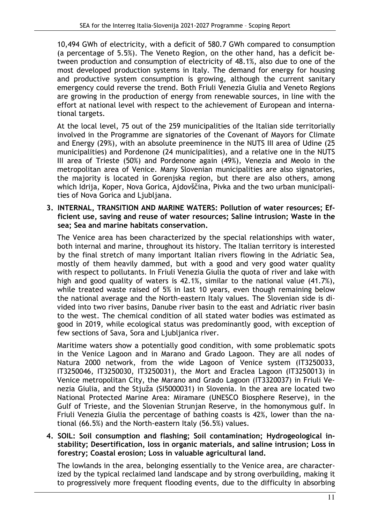10,494 GWh of electricity, with a deficit of 580.7 GWh compared to consumption (a percentage of 5.5%). The Veneto Region, on the other hand, has a deficit between production and consumption of electricity of 48.1%, also due to one of the most developed production systems in Italy. The demand for energy for housing and productive system consumption is growing, although the current sanitary emergency could reverse the trend. Both Friuli Venezia Giulia and Veneto Regions are growing in the production of energy from renewable sources, in line with the effort at national level with respect to the achievement of European and international targets.

At the local level, 75 out of the 259 municipalities of the Italian side territorially involved in the Programme are signatories of the Covenant of Mayors for Climate and Energy (29%), with an absolute preeminence in the NUTS III area of Udine (25 municipalities) and Pordenone (24 municipalities), and a relative one in the NUTS III area of Trieste (50%) and Pordenone again (49%), Venezia and Meolo in the metropolitan area of Venice. Many Slovenian municipalities are also signatories, the majority is located in Gorenjska region, but there are also others, among which Idrija, Koper, Nova Gorica, Ajdovščina, Pivka and the two urban municipalities of Nova Gorica and Liubliana.

**3. INTERNAL, TRANSITION AND MARINE WATERS: Pollution of water resources; Efficient use, saving and reuse of water resources; Saline intrusion; Waste in the sea; Sea and marine habitats conservation.** 

The Venice area has been characterized by the special relationships with water, both internal and marine, throughout its history. The Italian territory is interested by the final stretch of many important Italian rivers flowing in the Adriatic Sea, mostly of them heavily dammed, but with a good and very good water quality with respect to pollutants. In Friuli Venezia Giulia the quota of river and lake with high and good quality of waters is 42.1%, similar to the national value (41.7%), while treated waste raised of 5% in last 10 years, even though remaining below the national average and the North-eastern Italy values. The Slovenian side is divided into two river basins, Danube river basin to the east and Adriatic river basin to the west. The chemical condition of all stated water bodies was estimated as good in 2019, while ecological status was predominantly good, with exception of few sections of Sava, Sora and Ljubljanica river.

Maritime waters show a potentially good condition, with some problematic spots in the Venice Lagoon and in Marano and Grado Lagoon. They are all nodes of Natura 2000 network, from the wide Lagoon of Venice system (IT3250033, IT3250046, IT3250030, IT3250031), the Mort and Eraclea Lagoon (IT3250013) in Venice metropolitan City, the Marano and Grado Lagoon (IT3320037) in Friuli Venezia Giulia, and the Stjuža (SI5000031) in Slovenia. In the area are located two National Protected Marine Area: Miramare (UNESCO Biosphere Reserve), in the Gulf of Trieste, and the Slovenian Strunjan Reserve, in the homonymous gulf. In Friuli Venezia Giulia the percentage of bathing coasts is 42%, lower than the national (66.5%) and the North-eastern Italy (56.5%) values.

#### **4. SOIL: Soil consumption and flashing; Soil contamination; Hydrogeological instability; Desertification, loss in organic materials, and saline intrusion; Loss in forestry; Coastal erosion; Loss in valuable agricultural land.**

The lowlands in the area, belonging essentially to the Venice area, are characterized by the typical reclaimed land landscape and by strong overbuilding, making it to progressively more frequent flooding events, due to the difficulty in absorbing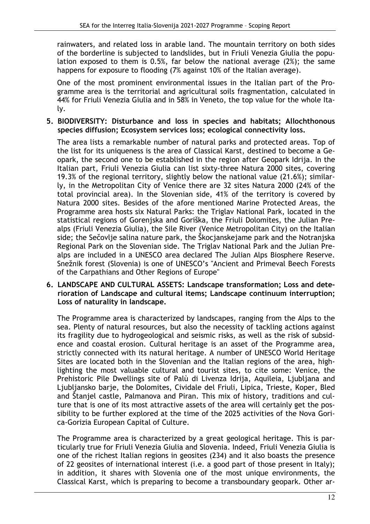rainwaters, and related loss in arable land. The mountain territory on both sides of the borderline is subjected to landslides, but in Friuli Venezia Giulia the population exposed to them is 0.5%, far below the national average (2%); the same happens for exposure to flooding (7% against 10% of the Italian average).

One of the most prominent environmental issues in the Italian part of the Programme area is the territorial and agricultural soils fragmentation, calculated in 44% for Friuli Venezia Giulia and in 58% in Veneto, the top value for the whole Italy.

#### **5. BIODIVERSITY: Disturbance and loss in species and habitats; Allochthonous species diffusion; Ecosystem services loss; ecological connectivity loss.**

The area lists a remarkable number of natural parks and protected areas. Top of the list for its uniqueness is the area of Classical Karst, destined to become a Geopark, the second one to be established in the region after Geopark Idrija. In the Italian part, Friuli Venezia Giulia can list sixty-three Natura 2000 sites, covering 19.3% of the regional territory, slightly below the national value (21.6%); similarly, in the Metropolitan City of Venice there are 32 sites Natura 2000 (24% of the total provincial area). In the Slovenian side, 41% of the territory is covered by Natura 2000 sites. Besides of the afore mentioned Marine Protected Areas, the Programme area hosts six Natural Parks: the Triglav National Park, located in the statistical regions of Gorenjska and Goriška, the Friuli Dolomites, the Julian Prealps (Friuli Venezia Giulia), the Sile River (Venice Metropolitan City) on the Italian side; the Sečovlje salina nature park, the Škocjanskejame park and the Notranjska Regional Park on the Slovenian side. The Triglav National Park and the Julian Prealps are included in a UNESCO area declared The Julian Alps Biosphere Reserve. Snežnik forest (Slovenia) is one of UNESCO's "Ancient and Primeval Beech Forests of the Carpathians and Other Regions of Europe"

#### **6. LANDSCAPE AND CULTURAL ASSETS: Landscape transformation; Loss and deterioration of Landscape and cultural items; Landscape continuum interruption; Loss of naturality in landscape.**

The Programme area is characterized by landscapes, ranging from the Alps to the sea. Plenty of natural resources, but also the necessity of tackling actions against its fragility due to hydrogeological and seismic risks, as well as the risk of subsidence and coastal erosion. Cultural heritage is an asset of the Programme area, strictly connected with its natural heritage. A number of UNESCO World Heritage Sites are located both in the Slovenian and the Italian regions of the area, highlighting the most valuable cultural and tourist sites, to cite some: Venice, the Prehistoric Pile Dwellings site of Palù di Livenza Idrija, Aquileia, Ljubljana and Ljubljansko barje, the Dolomites, Cividale del Friuli, Lipica, Trieste, Koper, Bled and Štanjel castle, Palmanova and Piran. This mix of history, traditions and culture that is one of its most attractive assets of the area will certainly get the possibility to be further explored at the time of the 2025 activities of the Nova Gorica-Gorizia European Capital of Culture.

The Programme area is characterized by a great geological heritage. This is particularly true for Friuli Venezia Giulia and Slovenia. Indeed, Friuli Venezia Giulia is one of the richest Italian regions in geosites (234) and it also boasts the presence of 22 geosites of international interest (i.e. a good part of those present in Italy); in addition, it shares with Slovenia one of the most unique environments, the Classical Karst, which is preparing to become a transboundary geopark. Other ar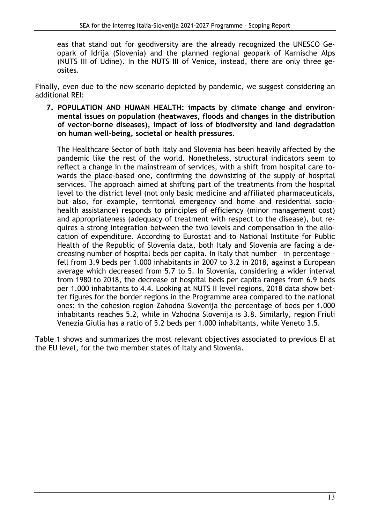eas that stand out for geodiversity are the already recognized the UNESCO Geopark of Idrija (Slovenia) and the planned regional geopark of Karnische Alps (NUTS III of Udine). In the NUTS III of Venice, instead, there are only three geosites.

Finally, even due to the new scenario depicted by pandemic, we suggest considering an additional REI:

**7. POPULATION AND HUMAN HEALTH: impacts by climate change and environmental issues on population (heatwaves, floods and changes in the distribution of vector-borne diseases), impact of loss of biodiversity and land degradation on human well-being, societal or health pressures.** 

The Healthcare Sector of both Italy and Slovenia has been heavily affected by the pandemic like the rest of the world. Nonetheless, structural indicators seem to reflect a change in the mainstream of services, with a shift from hospital care towards the place-based one, confirming the downsizing of the supply of hospital services. The approach aimed at shifting part of the treatments from the hospital level to the district level (not only basic medicine and affiliated pharmaceuticals, but also, for example, territorial emergency and home and residential sociohealth assistance) responds to principles of efficiency (minor management cost) and appropriateness (adequacy of treatment with respect to the disease), but requires a strong integration between the two levels and compensation in the allocation of expenditure. According to Eurostat and to National Institute for Public Health of the Republic of Slovenia data, both Italy and Slovenia are facing a decreasing number of hospital beds per capita. In Italy that number – in percentage fell from 3.9 beds per 1.000 inhabitants in 2007 to 3.2 in 2018, against a European average which decreased from 5.7 to 5. In Slovenia, considering a wider interval from 1980 to 2018, the decrease of hospital beds per capita ranges from 6.9 beds per 1.000 inhabitants to 4.4. Looking at NUTS II level regions, 2018 data show better figures for the border regions in the Programme area compared to the national ones: in the cohesion region Zahodna Slovenija the percentage of beds per 1.000 inhabitants reaches 5.2, while in Vzhodna Slovenija is 3.8. Similarly, region Friuli Venezia Giulia has a ratio of 5.2 beds per 1.000 inhabitants, while Veneto 3.5.

Table 1 shows and summarizes the most relevant objectives associated to previous EI at the EU level, for the two member states of Italy and Slovenia.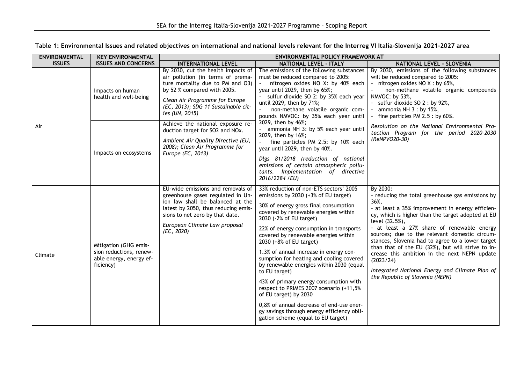| <b>ENVIRONMENTAL</b> | <b>KEY ENVIRONMENTAL</b>                                                                 | ENVIRONMENTAL POLICY FRAMEWORK AT                                                                                                                                                                                                     |                                                                                                                                                                                                                                                                                                                                                                                                                                                                                                                                                                                                                                                                                                           |                                                                                                                                                                                                                                                                                                                                                                                                                                                                                                                                                           |
|----------------------|------------------------------------------------------------------------------------------|---------------------------------------------------------------------------------------------------------------------------------------------------------------------------------------------------------------------------------------|-----------------------------------------------------------------------------------------------------------------------------------------------------------------------------------------------------------------------------------------------------------------------------------------------------------------------------------------------------------------------------------------------------------------------------------------------------------------------------------------------------------------------------------------------------------------------------------------------------------------------------------------------------------------------------------------------------------|-----------------------------------------------------------------------------------------------------------------------------------------------------------------------------------------------------------------------------------------------------------------------------------------------------------------------------------------------------------------------------------------------------------------------------------------------------------------------------------------------------------------------------------------------------------|
| <b>ISSUES</b>        | <b>ISSUES AND CONCERNS</b>                                                               | <b>INTERNATIONAL LEVEL</b>                                                                                                                                                                                                            | <b>NATIONAL LEVEL - ITALY</b>                                                                                                                                                                                                                                                                                                                                                                                                                                                                                                                                                                                                                                                                             | NATIONAL LEVEL - SLOVENIA                                                                                                                                                                                                                                                                                                                                                                                                                                                                                                                                 |
| Air                  | Impacts on human<br>health and well-being                                                | By 2030, cut the health impacts of<br>air pollution (in terms of prema-<br>ture mortality due to PM and O3)<br>by 52 % compared with 2005.<br>Clean Air Programme for Europe<br>(EC, 2013); SDG 11 Sustainable cit-<br>ies (UN, 2015) | The emissions of the following substances<br>must be reduced compared to 2005:<br>nitrogen oxides NO X: by 40% each<br>year until 2029, then by 65%;<br>sulfur dioxide SO 2: by 35% each year<br>until 2029, then by 71%;<br>non-methane volatile organic com-<br>pounds NMVOC: by 35% each year until<br>2029, then by 46%;<br>ammonia NH 3: by 5% each year until<br>2029, then by 16%;<br>fine particles PM 2.5: by 10% each<br>year until 2029, then by 40%.<br>Dlgs 81/2018 (reduction of national<br>emissions of certain atmospheric pollu-<br>tants. Implementation of directive<br>2016/2284 /EU)                                                                                                | By 2030, emissions of the following substances<br>will be reduced compared to 2005:<br>- nitrogen oxides NO X : by 65%,<br>non-methane volatile organic compounds<br>NMVOC: by 53%,<br>- sulfur dioxide SO 2 : by 92%,<br>ammonia NH $3:$ by 15%,<br>- fine particles PM 2.5 : by 60%.                                                                                                                                                                                                                                                                    |
|                      | Impacts on ecosystems                                                                    | Achieve the national exposure re-<br>duction target for SO2 and NOx.<br>Ambient Air Quality Directive (EU,<br>2008); Clean Air Programme for<br>Europe (EC, 2013)                                                                     |                                                                                                                                                                                                                                                                                                                                                                                                                                                                                                                                                                                                                                                                                                           | Resolution on the National Environmental Pro-<br>tection Program for the period 2020-2030<br>(ReNPVO20-30)                                                                                                                                                                                                                                                                                                                                                                                                                                                |
| Climate              | Mitigation (GHG emis-<br>sion reductions, renew-<br>able energy, energy ef-<br>ficiency) | EU-wide emissions and removals of<br>greenhouse gases regulated in Un-<br>ion law shall be balanced at the<br>latest by 2050, thus reducing emis-<br>sions to net zero by that date.<br>European Climate Law proposal<br>(EC, 2020)   | 33% reduction of non-ETS sectors' 2005<br>emissions by 2030 (+3% of EU target)<br>30% of energy gross final consumption<br>covered by renewable energies within<br>2030 (-2% of EU target)<br>22% of energy consumption in transports<br>covered by renewable energies within<br>2030 (+8% of EU target)<br>1.3% of annual increase in energy con-<br>sumption for heating and cooling covered<br>by renewable energies within 2030 (equal<br>to EU target)<br>43% of primary energy consumption with<br>respect to PRIMES 2007 scenario (+11,5%<br>of EU target) by 2030<br>0,8% of annual decrease of end-use ener-<br>gy savings through energy efficiency obli-<br>gation scheme (equal to EU target) | By 2030:<br>- reducing the total greenhouse gas emissions by<br>36%,<br>- at least a 35% improvement in energy efficien-<br>cy, which is higher than the target adopted at EU<br>level (32.5%),<br>- at least a 27% share of renewable energy<br>sources; due to the relevant domestic circum-<br>stances, Slovenia had to agree to a lower target<br>than that of the EU (32%), but will strive to in-<br>crease this ambition in the next NEPN update<br>(2023/24)<br>Integrated National Energy and Climate Plan of<br>the Republic of Slovenia (NEPN) |

| Table 1: Environmental Issues and related objectives on international and national levels relevant for the Interreg VI Italia-Slovenija 2021-2027 area |  |  |
|--------------------------------------------------------------------------------------------------------------------------------------------------------|--|--|
|                                                                                                                                                        |  |  |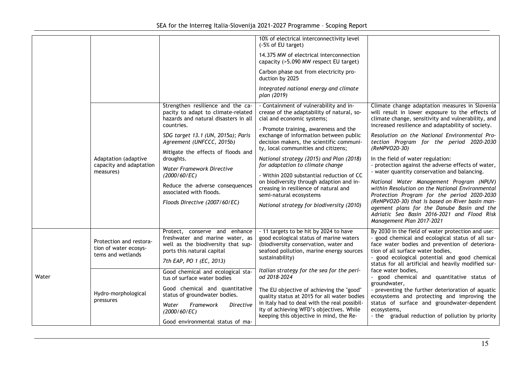|       | Adaptation (adaptive<br>capacity and adaptation<br>measures)          | Strengthen resilience and the ca-<br>pacity to adapt to climate-related<br>hazards and natural disasters in all<br>countries.<br>SDG target 13.1 (UN, 2015a); Paris<br>Agreement (UNFCCC, 2015b)<br>Mitigate the effects of floods and<br>droughts.<br>Water Framework Directive<br>(2000/60/EC)<br>Reduce the adverse consequences<br>associated with floods.<br>Floods Directive (2007/60/EC) | 10% of electrical interconnectivity level<br>(-5% of EU target)<br>14.375 MW of electrical interconnection<br>capacity (>5.090 MW respect EU target)<br>Carbon phase out from electricity pro-<br>duction by 2025<br>Integrated national energy and climate<br>plan (2019)<br>- Containment of vulnerability and in-<br>crease of the adaptability of natural, so-<br>cial and economic systems;<br>- Promote training, awareness and the<br>exchange of information between public<br>decision makers, the scientific communi-<br>ty, local communities and citizens;<br>National strategy (2015) and Plan (2018)<br>for adaptation to climate change<br>- Within 2020 substantial reduction of CC<br>on biodiversity through adaption and in-<br>creasing in resilience of natural and<br>semi-natural ecosystems<br>National strategy for biodiversity (2010) | Climate change adaptation measures in Slovenia<br>will result in lower exposure to the effects of<br>climate change, sensitivity and vulnerability, and<br>increased resilience and adaptability of society.<br>Resolution on the National Environmental Pro-<br>tection Program for the period 2020-2030<br>(ReNPVO20-30)<br>In the field of water regulation:<br>- protection against the adverse effects of water,<br>- water quantity conservation and balancing.<br>National Water Management Program (NPUV)<br>within Resolution on the National Environmental<br>Protection Program for the period 2020-2030<br>(ReNPVO20-30) that is based on River basin man-<br>agement plans for the Danube Basin and the<br>Adriatic Sea Basin 2016-2021 and Flood Risk<br>Management Plan 2017-2021 |
|-------|-----------------------------------------------------------------------|-------------------------------------------------------------------------------------------------------------------------------------------------------------------------------------------------------------------------------------------------------------------------------------------------------------------------------------------------------------------------------------------------|------------------------------------------------------------------------------------------------------------------------------------------------------------------------------------------------------------------------------------------------------------------------------------------------------------------------------------------------------------------------------------------------------------------------------------------------------------------------------------------------------------------------------------------------------------------------------------------------------------------------------------------------------------------------------------------------------------------------------------------------------------------------------------------------------------------------------------------------------------------|--------------------------------------------------------------------------------------------------------------------------------------------------------------------------------------------------------------------------------------------------------------------------------------------------------------------------------------------------------------------------------------------------------------------------------------------------------------------------------------------------------------------------------------------------------------------------------------------------------------------------------------------------------------------------------------------------------------------------------------------------------------------------------------------------|
|       | Protection and restora-<br>tion of water ecosys-<br>tems and wetlands | Protect, conserve and enhance<br>freshwater and marine water, as<br>well as the biodiversity that sup-<br>ports this natural capital<br>7th EAP, PO 1 (EC, 2013)                                                                                                                                                                                                                                | - 11 targets to be hit by 2024 to have<br>good ecological status of marine waters<br>(biodiversity conservation, water and<br>seafood pollution, marine energy sources<br>sustainability)                                                                                                                                                                                                                                                                                                                                                                                                                                                                                                                                                                                                                                                                        | By 2030 in the field of water protection and use:<br>- good chemical and ecological status of all sur-<br>face water bodies and prevention of deteriora-<br>tion of all surface water bodies,<br>- good ecological potential and good chemical<br>status for all artificial and heavily modified sur-                                                                                                                                                                                                                                                                                                                                                                                                                                                                                            |
| Water | Hydro-morphological<br>pressures                                      | Good chemical and ecological sta-<br>tus of surface water bodies<br>Good chemical and quantitative<br>status of groundwater bodies.<br>Framework<br>Water<br><b>Directive</b><br>(2000/60/EC)<br>Good environmental status of ma-                                                                                                                                                               | Italian strategy for the sea for the peri-<br>od 2018-2024<br>The EU objective of achieving the "good"<br>quality status at 2015 for all water bodies<br>in Italy had to deal with the real possibil-<br>ity of achieving WFD's objectives. While<br>keeping this objective in mind, the Re-                                                                                                                                                                                                                                                                                                                                                                                                                                                                                                                                                                     | face water bodies.<br>good chemical and quantitative status of<br>groundwater,<br>- preventing the further deterioration of aquatic<br>ecosystems and protecting and improving the<br>status of surface and groundwater-dependent<br>ecosystems,<br>- the gradual reduction of pollution by priority                                                                                                                                                                                                                                                                                                                                                                                                                                                                                             |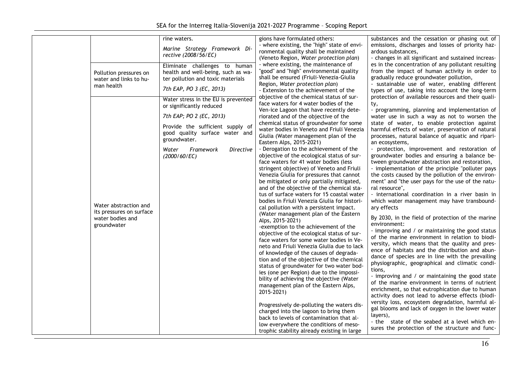| Pollution pressures on<br>water and links to hu-<br>man health<br>Water abstraction and<br>its pressures on surface<br>water bodies and<br>groundwater | rine waters.<br>Marine Strategy Framework Di-<br>rective (2008/56/EC)<br>Eliminate challenges to human<br>health and well-being, such as wa-<br>ter pollution and toxic materials<br>7th EAP, PO 3 (EC, 2013)<br>Water stress in the EU is prevented<br>or significantly reduced<br>7th EAP; PO 2 (EC, 2013)<br>Provide the sufficient supply of<br>good quality surface water and<br>groundwater.<br>Water<br>Framework<br><b>Directive</b><br>(2000/60/EC) | gions have formulated others:<br>- where existing, the "high" state of envi-<br>ronmental quality shall be maintained<br>(Veneto Region, Water protection plan)<br>- where existing, the maintenance of<br>"good" and "high" environmental quality<br>shall be ensured (Friuli-Venezia-Giulia<br>Region, Water protection plan)<br>- Extension to the achievement of the<br>objective of the chemical status of sur-<br>face waters for 4 water bodies of the<br>Ven-ice Lagoon that have recently dete-<br>riorated and of the objective of the<br>chemical status of groundwater for some<br>water bodies in Veneto and Friuli Venezia<br>Giulia (Water management plan of the<br>Eastern Alps, 2015-2021)<br>- Derogation to the achievement of the<br>objective of the ecological status of sur-<br>face waters for 41 water bodies (less<br>stringent objective) of Veneto and Friuli<br>Venezia Giulia for pressures that cannot<br>be mitigated or only partially mitigated,<br>and of the objective of the chemical sta-<br>tus of surface waters for 15 coastal water<br>bodies in Friuli Venezia Giulia for histori-<br>cal pollution with a persistent impact.<br>(Water management plan of the Eastern<br>Alps, 2015-2021)<br>-exemption to the achievement of the<br>objective of the ecological status of sur-<br>face waters for some water bodies in Ve-<br>neto and Friuli Venezia Giulia due to lack<br>of knowledge of the causes of degrada- | substances and the cessation or phasing out of<br>emissions, discharges and losses of priority haz-<br>ardous substances,<br>- changes in all significant and sustained increas-<br>es in the concentration of any pollutant resulting<br>from the impact of human activity in order to<br>gradually reduce groundwater pollution,<br>- sustainable use of water, enabling different<br>types of use, taking into account the long-term<br>protection of available resources and their quali-<br>ty,<br>- programming, planning and implementation of<br>water use in such a way as not to worsen the<br>state of water, to enable protection against<br>harmful effects of water, preservation of natural<br>processes, natural balance of aquatic and ripari-<br>an ecosystems,<br>- protection, improvement and restoration of<br>groundwater bodies and ensuring a balance be-<br>tween groundwater abstraction and restoration,<br>- implementation of the principle "polluter pays<br>the costs caused by the pollution of the environ-<br>ment" and "the user pays for the use of the natu-<br>ral resource",<br>- international coordination in a river basin in<br>which water management may have transbound-<br>ary effects<br>By 2030, in the field of protection of the marine<br>environment:<br>- improving and / or maintaining the good status<br>of the marine environment in relation to biodi-<br>versity, which means that the quality and pres-<br>ence of habitats and the distribution and abun-<br>dance of species are in line with the prevailing |
|--------------------------------------------------------------------------------------------------------------------------------------------------------|--------------------------------------------------------------------------------------------------------------------------------------------------------------------------------------------------------------------------------------------------------------------------------------------------------------------------------------------------------------------------------------------------------------------------------------------------------------|------------------------------------------------------------------------------------------------------------------------------------------------------------------------------------------------------------------------------------------------------------------------------------------------------------------------------------------------------------------------------------------------------------------------------------------------------------------------------------------------------------------------------------------------------------------------------------------------------------------------------------------------------------------------------------------------------------------------------------------------------------------------------------------------------------------------------------------------------------------------------------------------------------------------------------------------------------------------------------------------------------------------------------------------------------------------------------------------------------------------------------------------------------------------------------------------------------------------------------------------------------------------------------------------------------------------------------------------------------------------------------------------------------------------------------------------------------------|------------------------------------------------------------------------------------------------------------------------------------------------------------------------------------------------------------------------------------------------------------------------------------------------------------------------------------------------------------------------------------------------------------------------------------------------------------------------------------------------------------------------------------------------------------------------------------------------------------------------------------------------------------------------------------------------------------------------------------------------------------------------------------------------------------------------------------------------------------------------------------------------------------------------------------------------------------------------------------------------------------------------------------------------------------------------------------------------------------------------------------------------------------------------------------------------------------------------------------------------------------------------------------------------------------------------------------------------------------------------------------------------------------------------------------------------------------------------------------------------------------------------------------------------------------------------------|
|                                                                                                                                                        |                                                                                                                                                                                                                                                                                                                                                                                                                                                              | tion and of the objective of the chemical<br>status of groundwater for two water bod-<br>ies (one per Region) due to the impossi-<br>bility of achieving the objective (Water<br>management plan of the Eastern Alps,<br>2015-2021)<br>Progressively de-polluting the waters dis-<br>charged into the lagoon to bring them<br>back to levels of contamination that al-<br>low everywhere the conditions of meso-<br>trophic stability already existing in large                                                                                                                                                                                                                                                                                                                                                                                                                                                                                                                                                                                                                                                                                                                                                                                                                                                                                                                                                                                                  | physiographic, geographical and climatic condi-<br>tions.<br>- improving and / or maintaining the good state<br>of the marine environment in terms of nutrient<br>enrichment, so that eutrophication due to human<br>activity does not lead to adverse effects (biodi-<br>versity loss, ecosystem degradation, harmful al-<br>gal blooms and lack of oxygen in the lower water<br>layers),<br>- the state of the seabed at a level which en-<br>sures the protection of the structure and func-                                                                                                                                                                                                                                                                                                                                                                                                                                                                                                                                                                                                                                                                                                                                                                                                                                                                                                                                                                                                                                                                              |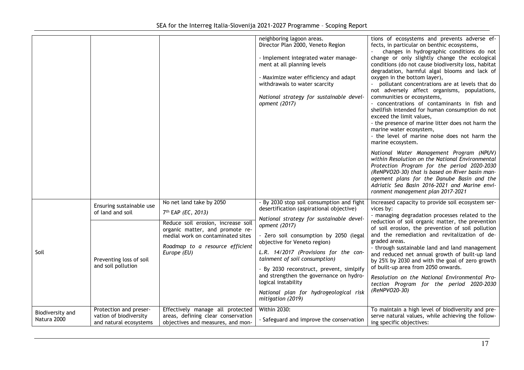|                                 |                                                                            |                                                                                                                        | neighboring lagoon areas.<br>Director Plan 2000, Veneto Region<br>- Implement integrated water manage-<br>ment at all planning levels<br>- Maximize water efficiency and adapt<br>withdrawals to water scarcity<br>National strategy for sustainable devel-<br>opment (2017)                                                                 | tions of ecosystems and prevents adverse ef-<br>fects, in particular on benthic ecosystems,<br>changes in hydrographic conditions do not<br>change or only slightly change the ecological<br>conditions (do not cause biodiversity loss, habitat<br>degradation, harmful algal blooms and lack of<br>oxygen in the bottom layer),<br>pollutant concentrations are at levels that do<br>not adversely affect organisms, populations,<br>communities or ecosystems,<br>- concentrations of contaminants in fish and<br>shellfish intended for human consumption do not<br>exceed the limit values,<br>- the presence of marine litter does not harm the<br>marine water ecosystem,<br>- the level of marine noise does not harm the<br>marine ecosystem.<br>National Water Management Program (NPUV)<br>within Resolution on the National Environmental<br>Protection Program for the period 2020-2030<br>(ReNPVO20-30) that is based on River basin man-<br>agement plans for the Danube Basin and the<br>Adriatic Sea Basin 2016-2021 and Marine envi-<br>ronment management plan 2017-2021 |
|---------------------------------|----------------------------------------------------------------------------|------------------------------------------------------------------------------------------------------------------------|----------------------------------------------------------------------------------------------------------------------------------------------------------------------------------------------------------------------------------------------------------------------------------------------------------------------------------------------|---------------------------------------------------------------------------------------------------------------------------------------------------------------------------------------------------------------------------------------------------------------------------------------------------------------------------------------------------------------------------------------------------------------------------------------------------------------------------------------------------------------------------------------------------------------------------------------------------------------------------------------------------------------------------------------------------------------------------------------------------------------------------------------------------------------------------------------------------------------------------------------------------------------------------------------------------------------------------------------------------------------------------------------------------------------------------------------------|
|                                 | Ensuring sustainable use<br>of land and soil                               | No net land take by 2050<br>7 <sup>th</sup> EAP (EC, 2013)<br>Reduce soil erosion, increase soil                       | - By 2030 stop soil consumption and fight<br>desertification (aspirational objective)<br>National strategy for sustainable devel-                                                                                                                                                                                                            | Increased capacity to provide soil ecosystem ser-<br>vices by:<br>- managing degradation processes related to the<br>reduction of soil organic matter, the prevention                                                                                                                                                                                                                                                                                                                                                                                                                                                                                                                                                                                                                                                                                                                                                                                                                                                                                                                       |
| Soil                            | Preventing loss of soil<br>and soil pollution                              | organic matter, and promote re-<br>medial work on contaminated sites<br>Roadmap to a resource efficient<br>Europe (EU) | opment (2017)<br>- Zero soil consumption by 2050 (legal<br>objective for Veneto region)<br>L.R. 14/2017 (Provisions for the con-<br>tainment of soil consumption)<br>By 2030 reconstruct, prevent, simlpify<br>and strengthen the governance on hydro-<br>logical instability<br>National plan for hydrogeological risk<br>mitigation (2019) | of soil erosion, the prevention of soil pollution<br>and the remediation and revitalization of de-<br>graded areas.<br>- through sustainable land and land management<br>and reduced net annual growth of built-up land<br>by 25% by 2030 and with the goal of zero growth<br>of built-up area from 2050 onwards.<br>Resolution on the National Environmental Pro-<br>tection Program for the period 2020-2030<br>(ReNPVO20-30)                                                                                                                                                                                                                                                                                                                                                                                                                                                                                                                                                                                                                                                             |
| Biodiversity and<br>Natura 2000 | Protection and preser-<br>vation of biodiversity<br>and natural ecosystems | Effectively manage all protected<br>areas, defining clear conservation<br>objectives and measures, and mon-            | <b>Within 2030:</b><br>- Safeguard and improve the conservation                                                                                                                                                                                                                                                                              | To maintain a high level of biodiversity and pre-<br>serve natural values, while achieving the follow-<br>ing specific objectives:                                                                                                                                                                                                                                                                                                                                                                                                                                                                                                                                                                                                                                                                                                                                                                                                                                                                                                                                                          |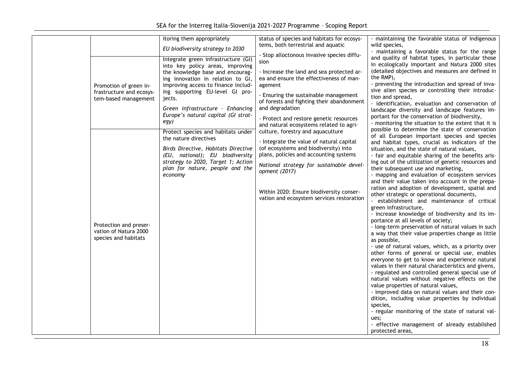|                          | itoring them appropriately          | status of species and habitats for ecosys-                                            | - maintaining the favorable status of indigenous                                                     |
|--------------------------|-------------------------------------|---------------------------------------------------------------------------------------|------------------------------------------------------------------------------------------------------|
|                          |                                     | tems, both terrestrial and aquatic                                                    | wild species,                                                                                        |
|                          | EU biodiversity strategy to 2030    |                                                                                       | - maintaining a favorable status for the range                                                       |
|                          | Integrate green infrastructure (GI) | - Stop alloctonous invasive species diffu-                                            | and quality of habitat types, in particular those                                                    |
|                          | into key policy areas, improving    | sion                                                                                  | in ecologically important and Natura 2000 sites                                                      |
|                          | the knowledge base and encourag-    | - Increase the land and sea protected ar-                                             | (detailed objectives and measures are defined in                                                     |
|                          | ing innovation in relation to GI,   | ea and ensure the effectiveness of man-                                               | the RMP),                                                                                            |
| Promotion of green in-   | improving access to finance includ- | agement                                                                               | - preventing the introduction and spread of inva-                                                    |
| frastructure and ecosys- | ing supporting EU-level GI pro-     |                                                                                       | sive alien species or controlling their introduc-                                                    |
| tem-based management     | jects.                              | - Ensuring the sustainable management<br>of forests and fighting their abandonment    | tion and spread,                                                                                     |
|                          | Green infrastructure - Enhancing    | and degradation                                                                       | - identification, evaluation and conservation of                                                     |
|                          | Europe's natural capital (GI strat- |                                                                                       | landscape diversity and landscape features im-                                                       |
|                          | egy)                                | - Protect and restore genetic resources                                               | portant for the conservation of biodiversity,                                                        |
|                          |                                     | and natural ecosystems related to agri-                                               | - monitoring the situation to the extent that it is                                                  |
|                          | Protect species and habitats under  | culture, forestry and aquaculture                                                     | possible to determine the state of conservation<br>of all European important species and species     |
|                          | the nature directives               | - Integrate the value of natural capital                                              | and habitat types, crucial as indicators of the                                                      |
|                          | Birds Directive, Habitats Directive | (of ecosystems and biodiversity) into                                                 | situation, and the state of natural values,                                                          |
|                          | (EU, national); EU biodiversity     | plans, policies and accounting systems                                                | - fair and equitable sharing of the benefits aris-                                                   |
|                          | strategy to 2020, Target 1; Action  |                                                                                       | ing out of the utilization of genetic resources and                                                  |
|                          | plan for nature, people and the     | National strategy for sustainable devel-                                              | their subsequent use and marketing,                                                                  |
|                          | economy                             | opment (2017)                                                                         | - mapping and evaluation of ecosystem services                                                       |
|                          |                                     |                                                                                       | and their value taken into account in the prepa-                                                     |
|                          |                                     |                                                                                       | ration and adoption of development, spatial and                                                      |
|                          |                                     | Within 2020: Ensure biodiversity conser-<br>vation and ecosystem services restoration | other strategic or operational documents,                                                            |
|                          |                                     |                                                                                       | - establishment and maintenance of critical                                                          |
|                          |                                     |                                                                                       | green infrastructure,                                                                                |
|                          |                                     |                                                                                       | - increase knowledge of biodiversity and its im-                                                     |
| Protection and preser-   |                                     |                                                                                       | portance at all levels of society;                                                                   |
| vation of Natura 2000    |                                     |                                                                                       | - long-term preservation of natural values in such                                                   |
| species and habitats     |                                     |                                                                                       | a way that their value properties change as little                                                   |
|                          |                                     |                                                                                       | as possible,                                                                                         |
|                          |                                     |                                                                                       | - use of natural values, which, as a priority over<br>other forms of general or special use, enables |
|                          |                                     |                                                                                       | everyone to get to know and experience natural                                                       |
|                          |                                     |                                                                                       | values in their natural characteristics and givens,                                                  |
|                          |                                     |                                                                                       | - regulated and controlled general special use of                                                    |
|                          |                                     |                                                                                       | natural values without negative effects on the                                                       |
|                          |                                     |                                                                                       | value properties of natural values,                                                                  |
|                          |                                     |                                                                                       | - improved data on natural values and their con-                                                     |
|                          |                                     |                                                                                       | dition, including value properties by individual                                                     |
|                          |                                     |                                                                                       | species,                                                                                             |
|                          |                                     |                                                                                       | - regular monitoring of the state of natural val-                                                    |
|                          |                                     |                                                                                       | ues:                                                                                                 |
|                          |                                     |                                                                                       | - effective management of already established                                                        |
|                          |                                     |                                                                                       | protected areas,                                                                                     |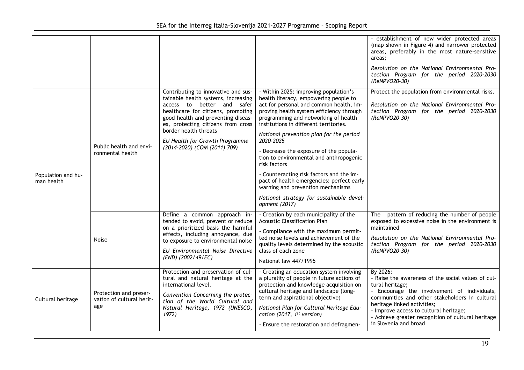|                                  |                                                            |                                                                                                                                                                                                                                                                                                                       |                                                                                                                                                                                                                                                                                                                                                                                                                                                                                                                                                                                                | - establishment of new wider protected areas<br>(map shown in Figure 4) and narrower protected<br>areas, preferably in the most nature-sensitive<br>areas;<br>Resolution on the National Environmental Pro-                                                                                                       |
|----------------------------------|------------------------------------------------------------|-----------------------------------------------------------------------------------------------------------------------------------------------------------------------------------------------------------------------------------------------------------------------------------------------------------------------|------------------------------------------------------------------------------------------------------------------------------------------------------------------------------------------------------------------------------------------------------------------------------------------------------------------------------------------------------------------------------------------------------------------------------------------------------------------------------------------------------------------------------------------------------------------------------------------------|-------------------------------------------------------------------------------------------------------------------------------------------------------------------------------------------------------------------------------------------------------------------------------------------------------------------|
|                                  |                                                            |                                                                                                                                                                                                                                                                                                                       |                                                                                                                                                                                                                                                                                                                                                                                                                                                                                                                                                                                                | tection Program for the period 2020-2030<br>(ReNPVO20-30)                                                                                                                                                                                                                                                         |
| Population and hu-<br>man health | Public health and envi-<br>ronmental health                | Contributing to innovative and sus-<br>tainable health systems, increasing<br>access to better and safer<br>healthcare for citizens, promoting<br>good health and preventing diseas-<br>es, protecting citizens from cross<br>border health threats<br>EU Health for Growth Programme<br>(2014-2020) (COM (2011) 709) | - Within 2025: improving population's<br>health literacy, empowering people to<br>act for personal and common health, im-<br>proving health system efficiency through<br>programming and networking of health<br>institutions in different territories.<br>National prevention plan for the period<br>2020-2025<br>- Decrease the exposure of the popula-<br>tion to environmental and anthropogenic<br>risk factors<br>- Counteracting risk factors and the im-<br>pact of health emergencies: perfect early<br>warning and prevention mechanisms<br>National strategy for sustainable devel- | Protect the population from environmental risks.<br>Resolution on the National Environmental Pro-<br>tection Program for the period 2020-2030<br>(ReNPVO20-30)                                                                                                                                                    |
|                                  |                                                            | Define a common approach in-                                                                                                                                                                                                                                                                                          | opment (2017)<br>- Creation by each municipality of the                                                                                                                                                                                                                                                                                                                                                                                                                                                                                                                                        | pattern of reducing the number of people<br>The                                                                                                                                                                                                                                                                   |
|                                  | Noise                                                      | tended to avoid, prevent or reduce<br>on a prioritized basis the harmful<br>effects, including annoyance, due<br>to exposure to environmental noise<br>EU Environmental Noise Directive                                                                                                                               | <b>Acoustic Classification Plan</b><br>- Compliance with the maximum permit-                                                                                                                                                                                                                                                                                                                                                                                                                                                                                                                   | exposed to excessive noise in the environment is<br>maintained                                                                                                                                                                                                                                                    |
|                                  |                                                            |                                                                                                                                                                                                                                                                                                                       | ted noise levels and achievement of the<br>quality levels determined by the acoustic<br>class of each zone                                                                                                                                                                                                                                                                                                                                                                                                                                                                                     | Resolution on the National Environmental Pro-<br>tection Program for the period 2020-2030<br>(ReNPVO20-30)                                                                                                                                                                                                        |
|                                  |                                                            | (END) (2002/49/EC)                                                                                                                                                                                                                                                                                                    | National law 447/1995                                                                                                                                                                                                                                                                                                                                                                                                                                                                                                                                                                          |                                                                                                                                                                                                                                                                                                                   |
| Cultural heritage                | Protection and preser-<br>vation of cultural herit-<br>age | Protection and preservation of cul-<br>tural and natural heritage at the<br>international level.<br>Convention Concerning the protec-<br>tion of the World Cultural and<br>Natural Heritage, 1972 (UNESCO,<br>1972)                                                                                                   | - Creating an education system involving<br>a plurality of people in future actions of<br>protection and knowledge acquisition on<br>cultural heritage and landscape (long-<br>term and aspirational objective)<br>National Plan for Cultural Heritage Edu-<br>cation (2017, $1st$ version)                                                                                                                                                                                                                                                                                                    | By 2026:<br>- Raise the awareness of the social values of cul-<br>tural heritage;<br>- Encourage the involvement of individuals,<br>communities and other stakeholders in cultural<br>heritage linked activities;<br>- Improve access to cultural heritage;<br>- Achieve greater recognition of cultural heritage |
|                                  |                                                            |                                                                                                                                                                                                                                                                                                                       | - Ensure the restoration and defragmen-                                                                                                                                                                                                                                                                                                                                                                                                                                                                                                                                                        | in Slovenia and broad                                                                                                                                                                                                                                                                                             |
|                                  |                                                            |                                                                                                                                                                                                                                                                                                                       |                                                                                                                                                                                                                                                                                                                                                                                                                                                                                                                                                                                                | 19                                                                                                                                                                                                                                                                                                                |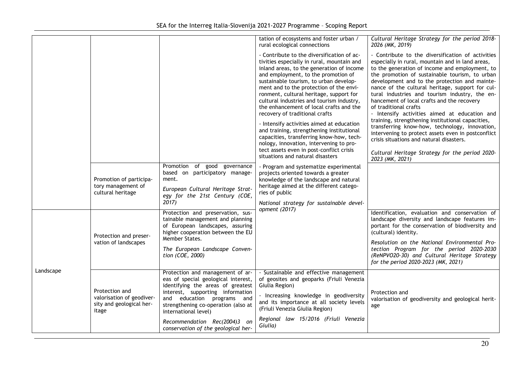|           | Promotion of participa-<br>tory management of<br>cultural heritage               | Promotion of good<br>governance<br>based on participatory manage-<br>ment.<br>European Cultural Heritage Strat-<br>egy for the 21st Century (COE,<br>2017)<br>Protection and preservation, sus-<br>tainable management and planning<br>of European landscapes, assuring<br>higher cooperation between the EU         | tation of ecosystems and foster urban /<br>rural ecological connections<br>- Contribute to the diversification of ac-<br>tivities especially in rural, mountain and<br>inland areas, to the generation of income<br>and employment, to the promotion of<br>sustainable tourism, to urban develop-<br>ment and to the protection of the envi-<br>ronment, cultural heritage, support for<br>cultural industries and tourism industry,<br>the enhancement of local crafts and the<br>recovery of traditional crafts<br>- Intensify activities aimed at education<br>and training, strengthening institutional<br>capacities, transferring know-how, tech-<br>nology, innovation, intervening to pro-<br>tect assets even in post-conflict crisis<br>situations and natural disasters<br>- Program and systematize experimental<br>projects oriented towards a greater<br>knowledge of the landscape and natural<br>heritage aimed at the different catego-<br>ries of public<br>National strategy for sustainable devel-<br>opment (2017) | Cultural Heritage Strategy for the period 2018-<br>2026 (MK, 2019)<br>- Contribute to the diversification of activities<br>especially in rural, mountain and in land areas,<br>to the generation of income and employment, to<br>the promotion of sustainable tourism, to urban<br>development and to the protection and mainte-<br>nance of the cultural heritage, support for cul-<br>tural industries and tourism industry, the en-<br>hancement of local crafts and the recovery<br>of traditional crafts<br>- Intensify activities aimed at education and<br>training, strengthening institutional capacities,<br>transferring know-how, technology, innovation,<br>intervening to protect assets even in postconflict<br>crisis situations and natural disasters.<br>Cultural Heritage Strategy for the period 2020-<br>2023 (MK, 2021)<br>Identification, evaluation and conservation of<br>landscape diversity and landscape features im-<br>portant for the conservation of biodiversity and |
|-----------|----------------------------------------------------------------------------------|----------------------------------------------------------------------------------------------------------------------------------------------------------------------------------------------------------------------------------------------------------------------------------------------------------------------|-----------------------------------------------------------------------------------------------------------------------------------------------------------------------------------------------------------------------------------------------------------------------------------------------------------------------------------------------------------------------------------------------------------------------------------------------------------------------------------------------------------------------------------------------------------------------------------------------------------------------------------------------------------------------------------------------------------------------------------------------------------------------------------------------------------------------------------------------------------------------------------------------------------------------------------------------------------------------------------------------------------------------------------------|-------------------------------------------------------------------------------------------------------------------------------------------------------------------------------------------------------------------------------------------------------------------------------------------------------------------------------------------------------------------------------------------------------------------------------------------------------------------------------------------------------------------------------------------------------------------------------------------------------------------------------------------------------------------------------------------------------------------------------------------------------------------------------------------------------------------------------------------------------------------------------------------------------------------------------------------------------------------------------------------------------|
|           | Protection and preser-<br>vation of landscapes                                   | Member States.<br>The European Landscape Conven-<br>tion (COE, 2000)                                                                                                                                                                                                                                                 |                                                                                                                                                                                                                                                                                                                                                                                                                                                                                                                                                                                                                                                                                                                                                                                                                                                                                                                                                                                                                                         | (cultural) identity.<br>Resolution on the National Environmental Pro-<br>tection Program for the period 2020-2030<br>(ReNPVO20-30) and Cultural Heritage Strategy<br>for the period 2020-2023 (MK, 2021)                                                                                                                                                                                                                                                                                                                                                                                                                                                                                                                                                                                                                                                                                                                                                                                              |
| Landscape | Protection and<br>valorisation of geodiver-<br>sity and geological her-<br>itage | Protection and management of ar-<br>eas of special geological interest,<br>identifying the areas of greatest<br>interest, supporting information<br>and education programs and<br>strengthening co-operation (also at<br>international level)<br>Recommendation Rec(2004)3 on<br>conservation of the geological her- | - Sustainable and effective management<br>of geosites and geoparks (Friuli Venezia<br>Giulia Region)<br>- Increasing knowledge in geodiversity<br>and its importance at all society levels<br>(Friuli Venezia Giulia Region)<br>Regional law 15/2016 (Friuli Venezia<br>Giulia)                                                                                                                                                                                                                                                                                                                                                                                                                                                                                                                                                                                                                                                                                                                                                         | Protection and<br>valorisation of geodiversity and geological herit-<br>age                                                                                                                                                                                                                                                                                                                                                                                                                                                                                                                                                                                                                                                                                                                                                                                                                                                                                                                           |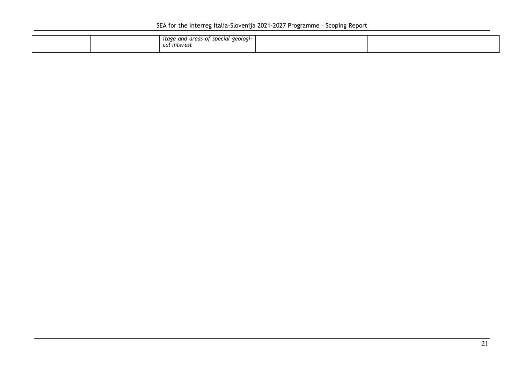|  | - of special geologi ذ<br>i areas<br>ıtage and<br>unu<br>' interest<br>cal |  |
|--|----------------------------------------------------------------------------|--|
|  |                                                                            |  |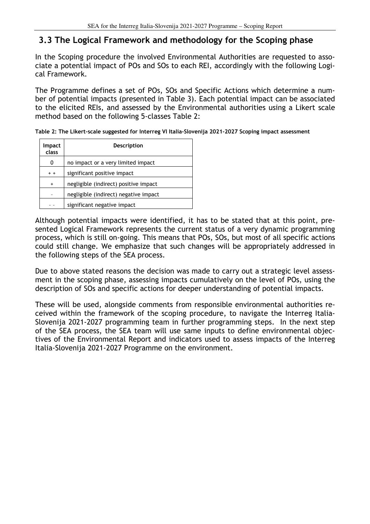### **3.3 The Logical Framework and methodology for the Scoping phase**

In the Scoping procedure the involved Environmental Authorities are requested to associate a potential impact of POs and SOs to each REI, accordingly with the following Logical Framework.

The Programme defines a set of POs, SOs and Specific Actions which determine a number of potential impacts (presented in Table 3). Each potential impact can be associated to the elicited REIs, and assessed by the Environmental authorities using a Likert scale method based on the following 5-classes Table 2:

| <b>Impact</b><br>class | <b>Description</b>                    |
|------------------------|---------------------------------------|
| 0                      | no impact or a very limited impact    |
| $+ +$                  | significant positive impact           |
| $\ddot{}$              | negligible (indirect) positive impact |
|                        | negligible (indirect) negative impact |
|                        | significant negative impact           |

**Table 2: The Likert-scale suggested for Interreg VI Italia-Slovenija 2021-2027 Scoping impact assessment**

Although potential impacts were identified, it has to be stated that at this point, presented Logical Framework represents the current status of a very dynamic programming process, which is still on-going. This means that POs, SOs, but most of all specific actions could still change. We emphasize that such changes will be appropriately addressed in the following steps of the SEA process.

Due to above stated reasons the decision was made to carry out a strategic level assessment in the scoping phase, assessing impacts cumulatively on the level of POs, using the description of SOs and specific actions for deeper understanding of potential impacts.

These will be used, alongside comments from responsible environmental authorities received within the framework of the scoping procedure, to navigate the Interreg Italia-Slovenija 2021-2027 programming team in further programming steps. In the next step of the SEA process, the SEA team will use same inputs to define environmental objectives of the Environmental Report and indicators used to assess impacts of the Interreg Italia-Slovenija 2021-2027 Programme on the environment.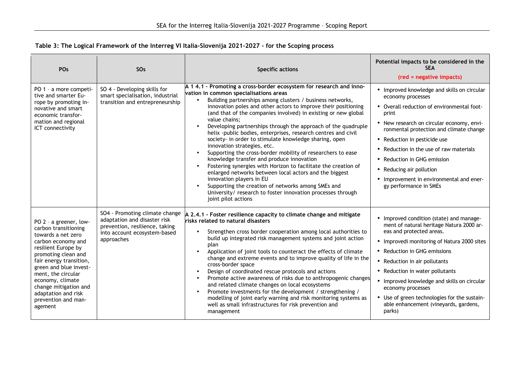#### **Table 3: The Logical Framework of the Interreg VI Italia-Slovenija 2021-2027 – for the Scoping process**

| POs                                                                                                                                                                                                                                                                                                                       | SO <sub>s</sub>                                                                                                                                | <b>Specific actions</b>                                                                                                                                                                                                                                                                                                                                                                                                                                                                                                                                                                                                                                                                                                                                                                                                                                                                                                                                                                 | Potential impacts to be considered in the<br><b>SEA</b><br>(red = negative impacts)                                                                                                                                                                                                                                                                                                                                                        |
|---------------------------------------------------------------------------------------------------------------------------------------------------------------------------------------------------------------------------------------------------------------------------------------------------------------------------|------------------------------------------------------------------------------------------------------------------------------------------------|-----------------------------------------------------------------------------------------------------------------------------------------------------------------------------------------------------------------------------------------------------------------------------------------------------------------------------------------------------------------------------------------------------------------------------------------------------------------------------------------------------------------------------------------------------------------------------------------------------------------------------------------------------------------------------------------------------------------------------------------------------------------------------------------------------------------------------------------------------------------------------------------------------------------------------------------------------------------------------------------|--------------------------------------------------------------------------------------------------------------------------------------------------------------------------------------------------------------------------------------------------------------------------------------------------------------------------------------------------------------------------------------------------------------------------------------------|
| PO 1 - a more competi-<br>tive and smarter Eu-<br>rope by promoting in-<br>novative and smart<br>economic transfor-<br>mation and regional<br>ICT connectivity                                                                                                                                                            | SO 4 - Developing skills for<br>smart specialisation, industrial<br>transition and entrepreneurship                                            | A 1 4.1 - Promoting a cross-border ecosystem for research and inno-<br>vation in common specialisations areas<br>Building partnerships among clusters / business networks,<br>innovation poles and other actors to improve their positioning<br>(and that of the companies involved) in existing or new global<br>value chains:<br>Developing partnerships through the approach of the quadruple<br>$\bullet$<br>helix -public bodies, enterprises, research centres and civil<br>society- in order to stimulate knowledge sharing, open<br>innovation strategies, etc.<br>Supporting the cross-border mobility of researchers to ease<br>knowledge transfer and produce innovation<br>Fostering synergies with Horizon to facilitate the creation of<br>enlarged networks between local actors and the biggest<br>innovation players in EU<br>Supporting the creation of networks among SMEs and<br>University/ research to foster innovation processes through<br>joint pilot actions | • Improved knowledge and skills on circular<br>economy processes<br>• Overall reduction of environmental foot-<br>print<br>• New research on circular economy, envi-<br>ronmental protection and climate change<br>• Reduction in pesticide use<br>• Reduction in the use of raw materials<br>• Reduction in GHG emission<br>• Reducing air pollution<br>• Improvement in environmental and ener-<br>gy performance in SMEs                |
| PO 2 - a greener, low-<br>carbon transitioning<br>towards a net zero<br>carbon economy and<br>resilient Europe by<br>promoting clean and<br>fair energy transition,<br>green and blue invest-<br>ment, the circular<br>economy, climate<br>change mitigation and<br>adaptation and risk<br>prevention and man-<br>agement | SO4 - Promoting climate change<br>adaptation and disaster risk<br>prevention, resilience, taking<br>into account ecosystem-based<br>approaches | A 2.4.1 - Foster resilience capacity to climate change and mitigate<br>risks related to natural disasters<br>Strengthen cross border cooperation among local authorities to<br>$\bullet$<br>build up integrated risk management systems and joint action<br>plan<br>Application of joint tools to counteract the effects of climate<br>change and extreme events and to improve quality of life in the<br>cross-border space<br>Design of coordinated rescue protocols and actions<br>Promote active awareness of risks due to anthropogenic changes<br>$\bullet$<br>and related climate changes on local ecosystems<br>Promote investments for the development / strengthening /<br>$\bullet$<br>modelling of joint early warning and risk monitoring systems as<br>well as small infrastructures for risk prevention and<br>management                                                                                                                                                | • Improved condition (state) and manage-<br>ment of natural heritage Natura 2000 ar-<br>eas and protected areas.<br>• Improvedi monitoring of Natura 2000 sites<br>• Reduction in GHG emissions<br>• Reduction in air pollutants<br>• Reduction in water pollutants<br>• Improved knowledge and skills on circular<br>economy processes<br>• Use of green technologies for the sustain-<br>able enhancement (vineyards, gardens,<br>parks) |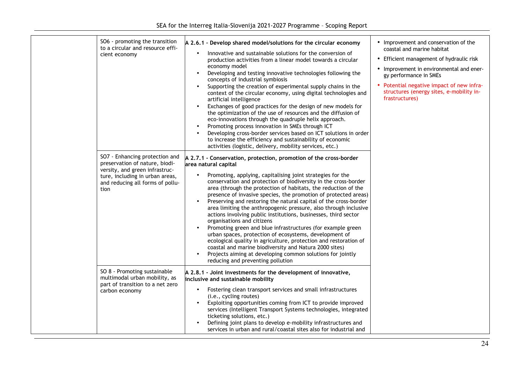| SO6 - promoting the transition<br>to a circular and resource effi-<br>cient economy                                                                                               | A 2.6.1 - Develop shared model/solutions for the circular economy<br>Innovative and sustainable solutions for the conversion of<br>$\bullet$<br>production activities from a linear model towards a circular<br>economy model<br>Developing and testing innovative technologies following the<br>$\bullet$<br>concepts of industrial symbiosis<br>Supporting the creation of experimental supply chains in the<br>context of the circular economy, using digital technologies and<br>artificial intelligence<br>Exchanges of good practices for the design of new models for<br>the optimization of the use of resources and the diffusion of<br>eco-innovations through the quadruple helix approach.<br>Promoting process innovation in SMEs through ICT<br>Developing cross-border services based on ICT solutions in order<br>to increase the efficiency and sustainability of economic<br>activities (logistic, delivery, mobility services, etc.)            | • Improvement and conservation of the<br>coastal and marine habitat<br>• Efficient management of hydraulic risk<br>• Improvement in environmental and ener-<br>gy performance in SMEs<br>• Potential negative impact of new infra-<br>structures (energy sites, e-mobility in-<br>frastructures) |
|-----------------------------------------------------------------------------------------------------------------------------------------------------------------------------------|--------------------------------------------------------------------------------------------------------------------------------------------------------------------------------------------------------------------------------------------------------------------------------------------------------------------------------------------------------------------------------------------------------------------------------------------------------------------------------------------------------------------------------------------------------------------------------------------------------------------------------------------------------------------------------------------------------------------------------------------------------------------------------------------------------------------------------------------------------------------------------------------------------------------------------------------------------------------|--------------------------------------------------------------------------------------------------------------------------------------------------------------------------------------------------------------------------------------------------------------------------------------------------|
| SO7 - Enhancing protection and<br>preservation of nature, biodi-<br>versity, and green infrastruc-<br>ture, including in urban areas,<br>and reducing all forms of pollu-<br>tion | A 2.7.1 - Conservation, protection, promotion of the cross-border<br>area natural capital<br>Promoting, applying, capitalising joint strategies for the<br>conservation and protection of biodiversity in the cross-border<br>area (through the protection of habitats, the reduction of the<br>presence of invasive species, the promotion of protected areas)<br>Preserving and restoring the natural capital of the cross-border<br>area limiting the anthropogenic pressure, also through inclusive<br>actions involving public institutions, businesses, third sector<br>organisations and citizens<br>Promoting green and blue infrastructures (for example green<br>urban spaces, protection of ecosystems, development of<br>ecological quality in agriculture, protection and restoration of<br>coastal and marine biodiversity and Natura 2000 sites)<br>Projects aiming at developing common solutions for jointly<br>reducing and preventing pollution |                                                                                                                                                                                                                                                                                                  |
| SO 8 - Promoting sustainable<br>multimodal urban mobility, as<br>part of transition to a net zero<br>carbon economy                                                               | A 2.8.1 - Joint investments for the development of innovative,<br>inclusive and sustainable mobility<br>Fostering clean transport services and small infrastructures<br>(i.e., cycling routes)<br>Exploiting opportunities coming from ICT to provide improved<br>services (Intelligent Transport Systems technologies, integrated<br>ticketing solutions, etc.)<br>Defining joint plans to develop e-mobility infrastructures and<br>services in urban and rural/coastal sites also for industrial and                                                                                                                                                                                                                                                                                                                                                                                                                                                            |                                                                                                                                                                                                                                                                                                  |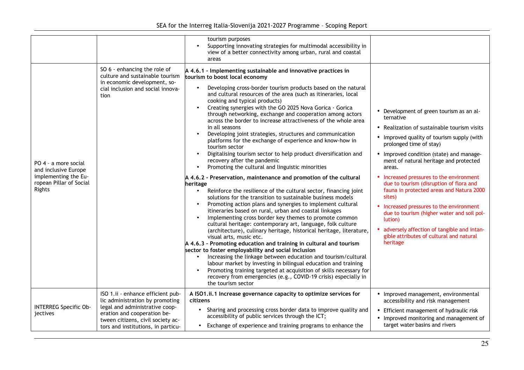|                                                                                                           |                                                                                                                                                                                                                  | tourism purposes<br>Supporting innovating strategies for multimodal accessibility in<br>$\bullet$<br>view of a better connectivity among urban, rural and coastal<br>areas                                                                                                                                                                                                                                                                                                                                                                                                                                                                                                                                                                                                                                                                                                                                                                                                                                                                                                                                                                                                                                                                                                                                                                                                                                                                                                                                                                                                                                                                                                                                                                                                                                         |                                                                                                                                                                                                                                                                                                                                                                                                                                                                                                                                                                                                                                       |
|-----------------------------------------------------------------------------------------------------------|------------------------------------------------------------------------------------------------------------------------------------------------------------------------------------------------------------------|--------------------------------------------------------------------------------------------------------------------------------------------------------------------------------------------------------------------------------------------------------------------------------------------------------------------------------------------------------------------------------------------------------------------------------------------------------------------------------------------------------------------------------------------------------------------------------------------------------------------------------------------------------------------------------------------------------------------------------------------------------------------------------------------------------------------------------------------------------------------------------------------------------------------------------------------------------------------------------------------------------------------------------------------------------------------------------------------------------------------------------------------------------------------------------------------------------------------------------------------------------------------------------------------------------------------------------------------------------------------------------------------------------------------------------------------------------------------------------------------------------------------------------------------------------------------------------------------------------------------------------------------------------------------------------------------------------------------------------------------------------------------------------------------------------------------|---------------------------------------------------------------------------------------------------------------------------------------------------------------------------------------------------------------------------------------------------------------------------------------------------------------------------------------------------------------------------------------------------------------------------------------------------------------------------------------------------------------------------------------------------------------------------------------------------------------------------------------|
| PO 4 - a more social<br>and inclusive Europe<br>implementing the Eu-<br>ropean Pillar of Social<br>Rights | SO 6 - enhancing the role of<br>culture and sustainable tourism<br>in economic development, so-<br>cial inclusion and social innova-<br>tion                                                                     | A 4.6.1 - Implementing sustainable and innovative practices in<br>tourism to boost local economy<br>Developing cross-border tourism products based on the natural<br>and cultural resources of the area (such as itineraries, local<br>cooking and typical products)<br>Creating synergies with the GO 2025 Nova Gorica · Gorica<br>through networking, exchange and cooperation among actors<br>across the border to increase attractiveness of the whole area<br>in all seasons<br>Developing joint strategies, structures and communication<br>platforms for the exchange of experience and know-how in<br>tourism sector<br>Digitalising tourism sector to help product diversification and<br>recovery after the pandemic<br>Promoting the cultural and linguistic minorities<br>A 4.6.2 - Preservation, maintenance and promotion of the cultural<br>heritage<br>Reinforce the resilience of the cultural sector, financing joint<br>$\bullet$<br>solutions for the transition to sustainable business models<br>Promoting action plans and synergies to implement cultural<br>itineraries based on rural, urban and coastal linkages<br>Implementing cross border key themes to promote common<br>cultural heritage: contemporary art, language, folk culture<br>(architecture), culinary heritage, historical heritage, literature,<br>visual arts, music etc.<br>A 4.6.3 - Promoting education and training in cultural and tourism<br>sector to foster employability and social inclusion<br>Increasing the linkage between education and tourism/cultural<br>$\bullet$<br>labour market by investing in bilingual education and training<br>Promoting training targeted at acquisition of skills necessary for<br>recovery from emergencies (e.g., COVID-19 crisis) especially in<br>the tourism sector | • Development of green tourism as an al-<br>ternative<br>• Realization of sustainable tourism visits<br>• Improved quality of tourism supply (with<br>prolonged time of stay)<br>• Improved condition (state) and manage-<br>ment of natural heritage and protected<br>areas.<br>• Increased pressures to the environment<br>due to tourism (disruption of flora and<br>fauna in protected areas and Natura 2000<br>sites)<br>• Increased pressures to the environment<br>due to tourism (higher water and soil pol-<br>lution)<br>adversely affection of tangible and intan-<br>gible attributes of cultural and natural<br>heritage |
| <b>INTERREG Specific Ob-</b><br><i>iectives</i>                                                           | ISO 1.ii - enhance efficient pub-<br>lic administration by promoting<br>legal and administrative coop-<br>eration and cooperation be-<br>tween citizens, civil society ac-<br>tors and institutions, in particu- | A ISO1.ii.1 Increase governance capacity to optimize services for<br>citizens<br>• Sharing and processing cross border data to improve quality and<br>accessibility of public services through the ICT;<br>• Exchange of experience and training programs to enhance the                                                                                                                                                                                                                                                                                                                                                                                                                                                                                                                                                                                                                                                                                                                                                                                                                                                                                                                                                                                                                                                                                                                                                                                                                                                                                                                                                                                                                                                                                                                                           | • Improved management, environmental<br>accessibility and risk management<br>• Efficient management of hydraulic risk<br>• Improved monitoring and management of<br>target water basins and rivers                                                                                                                                                                                                                                                                                                                                                                                                                                    |
|                                                                                                           |                                                                                                                                                                                                                  |                                                                                                                                                                                                                                                                                                                                                                                                                                                                                                                                                                                                                                                                                                                                                                                                                                                                                                                                                                                                                                                                                                                                                                                                                                                                                                                                                                                                                                                                                                                                                                                                                                                                                                                                                                                                                    |                                                                                                                                                                                                                                                                                                                                                                                                                                                                                                                                                                                                                                       |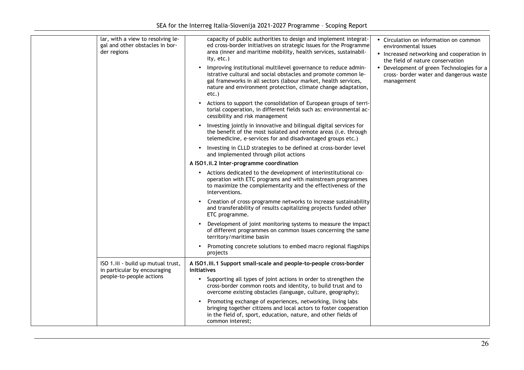| lar, with a view to resolving le-<br>gal and other obstacles in bor-<br>der regions | capacity of public authorities to design and implement integrat-<br>ed cross-border initiatives on strategic issues for the Programme<br>area (inner and maritime mobility, health services, sustainabil-<br>ity, etc.)<br>Improving institutional multilevel governance to reduce admin- | • Circulation on information on common<br>environmental issues<br>• Increased networking and cooperation in<br>the field of nature conservation<br>• Development of green Technologies for a |
|-------------------------------------------------------------------------------------|-------------------------------------------------------------------------------------------------------------------------------------------------------------------------------------------------------------------------------------------------------------------------------------------|----------------------------------------------------------------------------------------------------------------------------------------------------------------------------------------------|
|                                                                                     | istrative cultural and social obstacles and promote common le-<br>gal frameworks in all sectors (labour market, health services,<br>nature and environment protection, climate change adaptation,<br>etc.)                                                                                | cross- border water and dangerous waste<br>management                                                                                                                                        |
|                                                                                     | Actions to support the consolidation of European groups of terri-<br>torial cooperation, in different fields such as: environmental ac-<br>cessibility and risk management                                                                                                                |                                                                                                                                                                                              |
|                                                                                     | Investing jointly in innovative and bilingual digital services for<br>the benefit of the most isolated and remote areas (i.e. through<br>telemedicine, e-services for and disadvantaged groups etc.)                                                                                      |                                                                                                                                                                                              |
|                                                                                     | Investing in CLLD strategies to be defined at cross-border level<br>and implemented through pilot actions                                                                                                                                                                                 |                                                                                                                                                                                              |
|                                                                                     | A ISO1.ii.2 Inter-programme coordination                                                                                                                                                                                                                                                  |                                                                                                                                                                                              |
|                                                                                     | • Actions dedicated to the development of interinstitutional co-<br>operation with ETC programs and with mainstream programmes<br>to maximize the complementarity and the effectiveness of the<br>interventions.                                                                          |                                                                                                                                                                                              |
|                                                                                     | Creation of cross-programme networks to increase sustainability<br>and transferability of results capitalizing projects funded other<br>ETC programme.                                                                                                                                    |                                                                                                                                                                                              |
|                                                                                     | Development of joint monitoring systems to measure the impact<br>of different programmes on common issues concerning the same<br>territory/maritime basin                                                                                                                                 |                                                                                                                                                                                              |
|                                                                                     | Promoting concrete solutions to embed macro regional flagships<br>$\bullet$<br>projects                                                                                                                                                                                                   |                                                                                                                                                                                              |
| ISO 1.iii - build up mutual trust,<br>in particular by encouraging                  | A ISO1.iii.1 Support small-scale and people-to-people cross-border<br>initiatives                                                                                                                                                                                                         |                                                                                                                                                                                              |
| people-to-people actions                                                            | • Supporting all types of joint actions in order to strengthen the<br>cross-border common roots and identity, to build trust and to<br>overcome existing obstacles (language, culture, geography);                                                                                        |                                                                                                                                                                                              |
|                                                                                     | Promoting exchange of experiences, networking, living labs<br>$\bullet$<br>bringing together citizens and local actors to foster cooperation<br>in the field of, sport, education, nature, and other fields of<br>common interest;                                                        |                                                                                                                                                                                              |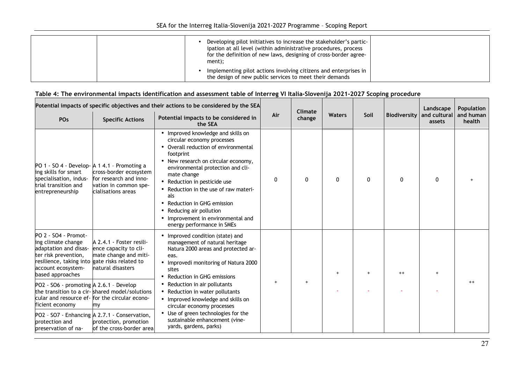|  | Developing pilot initiatives to increase the stakeholder's partic-<br>ipation at all level (within administrative procedures, process<br>for the definition of new laws, designing of cross-border agree-<br>ment); |  |
|--|---------------------------------------------------------------------------------------------------------------------------------------------------------------------------------------------------------------------|--|
|  | Implementing pilot actions involving citizens and enterprises in<br>the design of new public services to meet their demands                                                                                         |  |

| Potential impacts of specific objectives and their actions to be considered by the SEA                                                                                                                                              |                                                                                                                                                   |                                                                                                                                                                                                                                                                                                                                                                                                                                 |              |                   |               |              |                     | Landscape              | Population          |
|-------------------------------------------------------------------------------------------------------------------------------------------------------------------------------------------------------------------------------------|---------------------------------------------------------------------------------------------------------------------------------------------------|---------------------------------------------------------------------------------------------------------------------------------------------------------------------------------------------------------------------------------------------------------------------------------------------------------------------------------------------------------------------------------------------------------------------------------|--------------|-------------------|---------------|--------------|---------------------|------------------------|---------------------|
| POs                                                                                                                                                                                                                                 | <b>Specific Actions</b>                                                                                                                           | Potential impacts to be considered in<br>the SEA                                                                                                                                                                                                                                                                                                                                                                                | Air          | Climate<br>change | <b>Waters</b> | Soil         | <b>Biodiversity</b> | and cultural<br>assets | and human<br>health |
| PO 1 - SO 4 - Develop- A 1 4.1 - Promoting a<br>ing skills for smart<br>specialisation, indus-<br>trial transition and<br>entrepreneurship                                                                                          | cross-border ecosystem<br>for research and inno-<br>vation in common spe-<br>cialisations areas                                                   | • Improved knowledge and skills on<br>circular economy processes<br>• Overall reduction of environmental<br>footprint<br>• New research on circular economy,<br>environmental protection and cli-<br>mate change<br>• Reduction in pesticide use<br>• Reduction in the use of raw materi-<br>als<br>• Reduction in GHG emission<br>• Reducing air pollution<br>• Improvement in environmental and<br>energy performance in SMEs | $\mathbf{0}$ | 0                 | 0             | $\mathbf{0}$ | 0                   | 0                      |                     |
| PO 2 - SO4 - Promot-<br>ing climate change<br>adaptation and disas-<br>ter risk prevention,<br>resilience, taking into gate risks related to<br>account ecosystem-<br>based approaches<br>$PO2 - SO6 - promoting A 2.6.1 - Develop$ | A 2.4.1 - Foster resili-<br>ence capacity to cli-<br>mate change and miti-<br>natural disasters<br>the transition to a cir-shared model/solutions | • Improved condition (state) and<br>management of natural heritage<br>Natura 2000 areas and protected ar-<br>eas.<br>• Improvedi monitoring of Natura 2000<br>sites<br>• Reduction in GHG emissions<br>• Reduction in air pollutants<br>• Reduction in water pollutants                                                                                                                                                         | $\ddot{}$    |                   |               | $+$          | $^{++}$             |                        |                     |
| ficient economy                                                                                                                                                                                                                     | cular and resource ef- for the circular econo-<br>my                                                                                              | • Improved knowledge and skills on<br>circular economy processes                                                                                                                                                                                                                                                                                                                                                                |              |                   |               |              |                     |                        |                     |
| protection and<br>preservation of na-                                                                                                                                                                                               | PO2 - SO7 - Enhancing A 2.7.1 - Conservation,<br>protection, promotion<br>of the cross-border area                                                | • Use of green technologies for the<br>sustainable enhancement (vine-<br>yards, gardens, parks)                                                                                                                                                                                                                                                                                                                                 |              |                   |               |              |                     |                        |                     |

#### **Table 4: The environmental impacts identification and assessment table of Interreg VI Italia-Slovenija 2021-2027 Scoping procedure**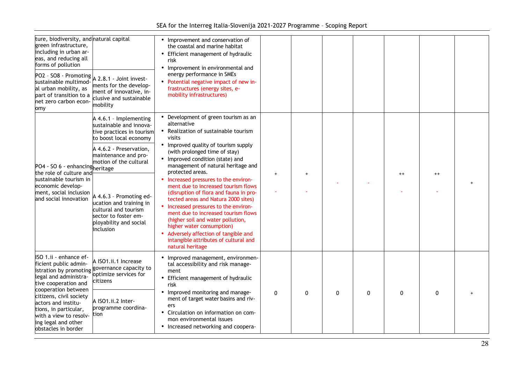| SEA for the Interreg Italia-Slovenija 2021-2027 Programme - Scoping Report |  |  |
|----------------------------------------------------------------------------|--|--|
|                                                                            |  |  |

| ture, biodiversity, and natural capital<br>green infrastructure,<br>including in urban ar-<br>eas, and reducing all<br>forms of pollution<br>$ PQ2 - SO8 - Promoting  A 2.8.1 - Joint invest-$<br>sustainable multimod-<br>al urban mobility, as<br>part of transition to a<br>net zero carbon econ-<br>omy | ments for the develop-<br>ment of innovative, in-<br>clusive and sustainable<br>mobility                                                  | • Improvement and conservation of<br>the coastal and marine habitat<br>• Efficient management of hydraulic<br>risk<br>• Improvement in environmental and<br>energy performance in SMEs<br>• Potential negative impact of new in-<br>frastructures (energy sites, e-<br>mobility infrastructures)                                                                                                                      |              |          |          |          |          |              |  |
|-------------------------------------------------------------------------------------------------------------------------------------------------------------------------------------------------------------------------------------------------------------------------------------------------------------|-------------------------------------------------------------------------------------------------------------------------------------------|-----------------------------------------------------------------------------------------------------------------------------------------------------------------------------------------------------------------------------------------------------------------------------------------------------------------------------------------------------------------------------------------------------------------------|--------------|----------|----------|----------|----------|--------------|--|
|                                                                                                                                                                                                                                                                                                             | A 4.6.1 - Implementing<br>sustainable and innova-<br>tive practices in tourism<br>to boost local economy                                  | • Development of green tourism as an<br>alternative<br>• Realization of sustainable tourism<br>visits<br>• Improved quality of tourism supply                                                                                                                                                                                                                                                                         |              |          |          |          |          |              |  |
| PO4 - SO 6 - enhancingheritage<br>the role of culture and<br>sustainable tourism in<br>economic develop-<br>ment, social inclusion<br>and social innovation                                                                                                                                                 | A 4.6.2 - Preservation,<br>maintenance and pro-<br>motion of the cultural                                                                 | (with prolonged time of stay)<br>• Improved condition (state) and<br>management of natural heritage and<br>protected areas.                                                                                                                                                                                                                                                                                           |              |          |          |          | $++$     | $^{++}$      |  |
|                                                                                                                                                                                                                                                                                                             | A 4.6.3 - Promoting ed-<br>ucation and training in<br>cultural and tourism<br>sector to foster em-<br>ployability and social<br>inclusion | • Increased pressures to the environ-<br>ment due to increased tourism flows<br>(disruption of flora and fauna in pro-<br>tected areas and Natura 2000 sites)<br>• Increased pressures to the environ-<br>ment due to increased tourism flows<br>(higher soil and water pollution,<br>higher water consumption)<br>• Adversely affection of tangible and<br>intangible attributes of cultural and<br>natural heritage |              |          |          |          |          |              |  |
| ISO 1.ii - enhance ef-<br>ficient public admin-<br>istration by promoting<br>legal and administra-<br>tive cooperation and<br>cooperation between<br>citizens, civil society<br>actors and institu-<br>tions, in particular,<br>with a view to resolv-<br>ing legal and other<br>obstacles in border        | A ISO1.ii.1 Increase<br>governance capacity to<br>optimize services for<br>citizens                                                       | • Improved management, environmen-<br>tal accessibility and risk manage-<br>ment<br>• Efficient management of hydraulic<br>risk                                                                                                                                                                                                                                                                                       |              |          |          |          |          |              |  |
|                                                                                                                                                                                                                                                                                                             | A ISO1.ii.2 Inter-<br>programme coordina-<br>tion                                                                                         | • Improved monitoring and manage-<br>ment of target water basins and riv-<br>ers<br>• Circulation on information on com-<br>mon environmental issues<br>• Increased networking and coopera-                                                                                                                                                                                                                           | $\mathbf{0}$ | $\Omega$ | $\Omega$ | $\Omega$ | $\Omega$ | $\mathbf{0}$ |  |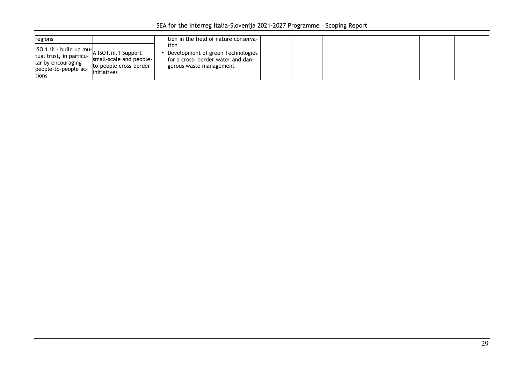| regions                                                                                                                                         | tion in the field of nature conserva-                                                                                                                           |  |  |  |
|-------------------------------------------------------------------------------------------------------------------------------------------------|-----------------------------------------------------------------------------------------------------------------------------------------------------------------|--|--|--|
| uSO 1.iii - build up mu- A ISO1.iii.1 Support<br>tual trust, in particu-<br>lar by encouraging<br>people-to-people ac-<br>linitiatives<br>tions | tion<br>Development of green Technologies<br>small-scale and people-<br>for a cross- border water and dan-<br>to-people cross-border<br>gerous waste management |  |  |  |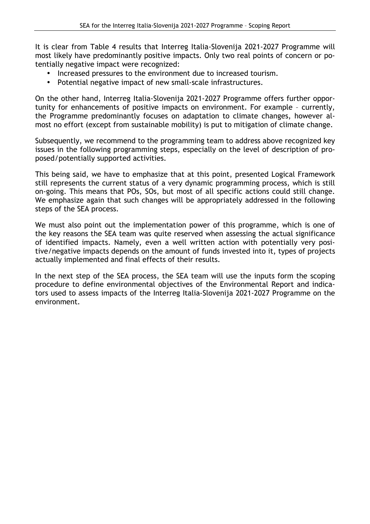It is clear from Table 4 results that Interreg Italia-Slovenija 2021-2027 Programme will most likely have predominantly positive impacts. Only two real points of concern or potentially negative impact were recognized:

- Increased pressures to the environment due to increased tourism.
- Potential negative impact of new small-scale infrastructures.

On the other hand, Interreg Italia-Slovenija 2021-2027 Programme offers further opportunity for enhancements of positive impacts on environment. For example – currently, the Programme predominantly focuses on adaptation to climate changes, however almost no effort (except from sustainable mobility) is put to mitigation of climate change.

Subsequently, we recommend to the programming team to address above recognized key issues in the following programming steps, especially on the level of description of proposed/potentially supported activities.

This being said, we have to emphasize that at this point, presented Logical Framework still represents the current status of a very dynamic programming process, which is still on-going. This means that POs, SOs, but most of all specific actions could still change. We emphasize again that such changes will be appropriately addressed in the following steps of the SEA process.

We must also point out the implementation power of this programme, which is one of the key reasons the SEA team was quite reserved when assessing the actual significance of identified impacts. Namely, even a well written action with potentially very positive/negative impacts depends on the amount of funds invested into it, types of projects actually implemented and final effects of their results.

In the next step of the SEA process, the SEA team will use the inputs form the scoping procedure to define environmental objectives of the Environmental Report and indicators used to assess impacts of the Interreg Italia-Slovenija 2021-2027 Programme on the environment.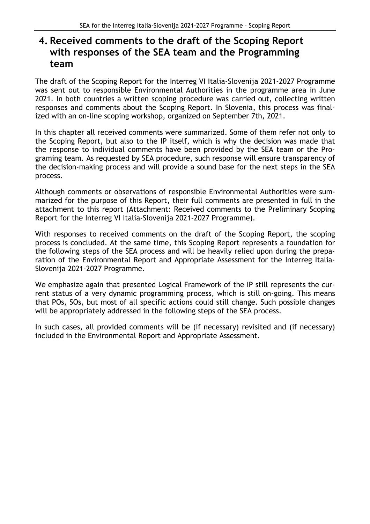## **4. Received comments to the draft of the Scoping Report with responses of the SEA team and the Programming team**

The draft of the Scoping Report for the Interreg VI Italia-Slovenija 2021-2027 Programme was sent out to responsible Environmental Authorities in the programme area in June 2021. In both countries a written scoping procedure was carried out, collecting written responses and comments about the Scoping Report. In Slovenia, this process was finalized with an on-line scoping workshop, organized on September 7th, 2021.

In this chapter all received comments were summarized. Some of them refer not only to the Scoping Report, but also to the IP itself, which is why the decision was made that the response to individual comments have been provided by the SEA team or the Programing team. As requested by SEA procedure, such response will ensure transparency of the decision-making process and will provide a sound base for the next steps in the SEA process.

Although comments or observations of responsible Environmental Authorities were summarized for the purpose of this Report, their full comments are presented in full in the attachment to this report (Attachment: Received comments to the Preliminary Scoping Report for the Interreg VI Italia-Slovenija 2021-2027 Programme).

With responses to received comments on the draft of the Scoping Report, the scoping process is concluded. At the same time, this Scoping Report represents a foundation for the following steps of the SEA process and will be heavily relied upon during the preparation of the Environmental Report and Appropriate Assessment for the Interreg Italia-Slovenija 2021-2027 Programme.

We emphasize again that presented Logical Framework of the IP still represents the current status of a very dynamic programming process, which is still on-going. This means that POs, SOs, but most of all specific actions could still change. Such possible changes will be appropriately addressed in the following steps of the SEA process.

In such cases, all provided comments will be (if necessary) revisited and (if necessary) included in the Environmental Report and Appropriate Assessment.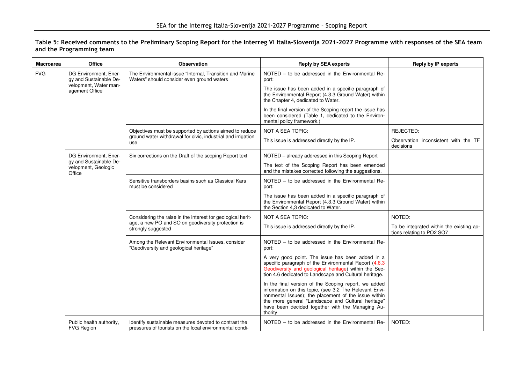| Table 5: Received comments to the Preliminary Scoping Report for the Interreg VI Italia-Slovenija 2021-2027 Programme with responses of the SEA team |
|------------------------------------------------------------------------------------------------------------------------------------------------------|
| and the Programming team                                                                                                                             |

| <b>Macroarea</b> | <b>Office</b>                                                            | <b>Observation</b>                                                                                                                      | <b>Reply by SEA experts</b>                                                                                                                                                                                                                                                                 | <b>Reply by IP experts</b>                                            |
|------------------|--------------------------------------------------------------------------|-----------------------------------------------------------------------------------------------------------------------------------------|---------------------------------------------------------------------------------------------------------------------------------------------------------------------------------------------------------------------------------------------------------------------------------------------|-----------------------------------------------------------------------|
| <b>FVG</b>       | DG Environment, Ener-<br>gy and Sustainable De-<br>velopment, Water man- | The Environmental issue "Internal, Transition and Marine<br>Waters" should consider even ground waters                                  | NOTED - to be addressed in the Environmental Re-<br>port:                                                                                                                                                                                                                                   |                                                                       |
|                  | agement Office                                                           |                                                                                                                                         | The issue has been added in a specific paragraph of<br>the Environmental Report (4.3.3 Ground Water) within<br>the Chapter 4, dedicated to Water.                                                                                                                                           |                                                                       |
|                  |                                                                          |                                                                                                                                         | In the final version of the Scoping report the issue has<br>been considered (Table 1, dedicated to the Environ-<br>mental policy framework.)                                                                                                                                                |                                                                       |
|                  |                                                                          | Objectives must be supported by actions aimed to reduce                                                                                 | <b>NOT A SEA TOPIC:</b>                                                                                                                                                                                                                                                                     | REJECTED:                                                             |
|                  |                                                                          | ground water withdrawal for civic, industrial and irrigation<br>use                                                                     | This issue is addressed directly by the IP.                                                                                                                                                                                                                                                 | Observation inconsistent with the TF<br>decisions                     |
|                  | DG Environment, Ener-                                                    | Six corrections on the Draft of the scoping Report text                                                                                 | NOTED - already addressed in this Scoping Report                                                                                                                                                                                                                                            |                                                                       |
|                  | gy and Sustainable De-<br>velopment, Geologic<br>Office                  |                                                                                                                                         | The text of the Scoping Report has been emended<br>and the mistakes corrected following the suggestions.                                                                                                                                                                                    |                                                                       |
|                  |                                                                          | Sensitive transborders basins such as Classical Kars<br>must be considered                                                              | NOTED - to be addressed in the Environmental Re-<br>port:                                                                                                                                                                                                                                   |                                                                       |
|                  |                                                                          |                                                                                                                                         | The issue has been added in a specific paragraph of<br>the Environmental Report (4.3.3 Ground Water) within<br>the Section 4,3 dedicated to Water.                                                                                                                                          |                                                                       |
|                  |                                                                          | Considering the raise in the interest for geological herit-<br>age, a new PO and SO on geodiversity protection is<br>strongly suggested | NOT A SEA TOPIC:                                                                                                                                                                                                                                                                            | NOTED:                                                                |
|                  |                                                                          |                                                                                                                                         | This issue is addressed directly by the IP.                                                                                                                                                                                                                                                 | To be integrated within the existing ac-<br>tions relating to PO2 SO7 |
|                  |                                                                          | Among the Relevant Environmental Issues, consider<br>"Geodiversity and geological heritage"                                             | NOTED - to be addressed in the Environmental Re-<br>port:                                                                                                                                                                                                                                   |                                                                       |
|                  |                                                                          |                                                                                                                                         | A very good point. The issue has been added in a<br>specific paragraph of the Environmental Report (4.6.3)<br>Geodiversity and geological heritage) within the Sec-<br>tion 4.6 dedicated to Landscape and Cultural heritage.                                                               |                                                                       |
|                  |                                                                          |                                                                                                                                         | In the final version of the Scoping report, we added<br>information on this topic, (see 3.2 The Relevant Envi-<br>ronmental Issues); the placement of the issue within<br>the more general "Landscape and Cultural heritage"<br>have been decided together with the Managing Au-<br>thority |                                                                       |
|                  | Public health authority,<br><b>FVG Region</b>                            | Identify sustainable measures devoted to contrast the<br>pressures of tourists on the local environmental condi-                        | NOTED – to be addressed in the Environmental Re-                                                                                                                                                                                                                                            | NOTED:                                                                |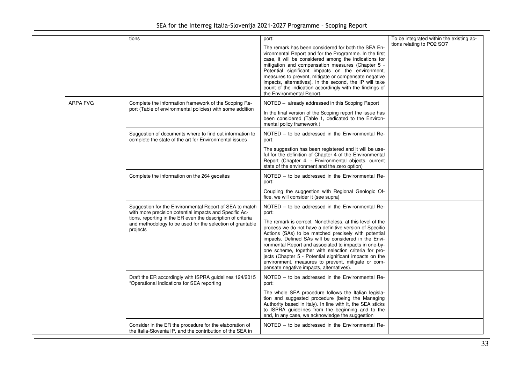SEA for the Interreg Italia-Slovenija 2021-2027 Programme – Scoping Report

|                 | tions                                                                                                                                                                                                                                                     | port:<br>The remark has been considered for both the SEA En-<br>vironmental Report and for the Programme. In the first<br>case, it will be considered among the indications for<br>mitigation and compensation measures (Chapter 5 -<br>Potential significant impacts on the environment,<br>measures to prevent, mitigate or compensate negative<br>impacts, alternatives). In the second, the IP will take<br>count of the indication accordingly with the findings of<br>the Environmental Report.                                                                           | To be integrated within the existing ac-<br>tions relating to PO2 SO7 |
|-----------------|-----------------------------------------------------------------------------------------------------------------------------------------------------------------------------------------------------------------------------------------------------------|---------------------------------------------------------------------------------------------------------------------------------------------------------------------------------------------------------------------------------------------------------------------------------------------------------------------------------------------------------------------------------------------------------------------------------------------------------------------------------------------------------------------------------------------------------------------------------|-----------------------------------------------------------------------|
| <b>ARPA FVG</b> | Complete the information framework of the Scoping Re-<br>port (Table of environmental policies) with some addition                                                                                                                                        | NOTED - already addressed in this Scoping Report<br>In the final version of the Scoping report the issue has<br>been considered (Table 1, dedicated to the Environ-<br>mental policy framework.)                                                                                                                                                                                                                                                                                                                                                                                |                                                                       |
|                 | Suggestion of documents where to find out information to<br>complete the state of the art for Environmental issues                                                                                                                                        | NOTED – to be addressed in the Environmental Re-<br>port:<br>The suggestion has been registered and it will be use-<br>ful for the definition of Chapter 4 of the Environmental<br>Report (Chapter 4. - Environmental objects, current<br>state of the environment and the zero option)                                                                                                                                                                                                                                                                                         |                                                                       |
|                 | Complete the information on the 264 geosites                                                                                                                                                                                                              | NOTED – to be addressed in the Environmental Re-<br>port:<br>Coupling the suggestion with Regional Geologic Of-<br>fice, we will consider it (see supra)                                                                                                                                                                                                                                                                                                                                                                                                                        |                                                                       |
|                 | Suggestion for the Environmental Report of SEA to match<br>with more precision potential impacts and Specific Ac-<br>tions, reporting in the ER even the description of criteria<br>and methodology to be used for the selection of grantable<br>projects | NOTED - to be addressed in the Environmental Re-<br>port:<br>The remark is correct. Nonetheless, at this level of the<br>process we do not have a definitive version of Specific<br>Actions (SAs) to be matched precisely with potential<br>impacts. Defined SAs will be considered in the Envi-<br>ronmental Report and associated to impacts in one-by-<br>one scheme, together with selection criteria for pro-<br>jects (Chapter 5 - Potential significant impacts on the<br>environment, measures to prevent, mitigate or com-<br>pensate negative impacts, alternatives). |                                                                       |
|                 | Draft the ER accordingly with ISPRA guidelines 124/2015<br>"Operational indications for SEA reporting                                                                                                                                                     | NOTED – to be addressed in the Environmental Re-<br>port:<br>The whole SEA procedure follows the Italian legisla-<br>tion and suggested procedure (being the Managing<br>Authority based in Italy). In line with it, the SEA sticks<br>to ISPRA guidelines from the beginning and to the<br>end, In any case, we acknowledge the suggestion                                                                                                                                                                                                                                     |                                                                       |
|                 | Consider in the ER the procedure for the elaboration of<br>the Italia-Slovenia IP, and the contribution of the SEA in                                                                                                                                     | NOTED – to be addressed in the Environmental Re-                                                                                                                                                                                                                                                                                                                                                                                                                                                                                                                                |                                                                       |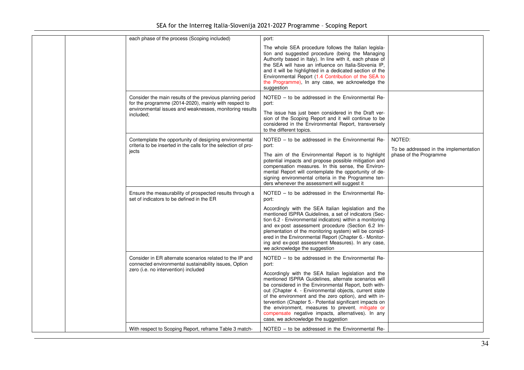|  | each phase of the process (Scoping included)                                                                                                                                               | port:                                                                                                                                                                                                                                                                                                                                                                                                                                                                                                                                                               |                                                                           |
|--|--------------------------------------------------------------------------------------------------------------------------------------------------------------------------------------------|---------------------------------------------------------------------------------------------------------------------------------------------------------------------------------------------------------------------------------------------------------------------------------------------------------------------------------------------------------------------------------------------------------------------------------------------------------------------------------------------------------------------------------------------------------------------|---------------------------------------------------------------------------|
|  |                                                                                                                                                                                            | The whole SEA procedure follows the Italian legisla-<br>tion and suggested procedure (being the Managing<br>Authority based in Italy). In line with it, each phase of<br>the SEA will have an influence on Italia-Slovenia IP.<br>and it will be highlighted in a dedicated section of the<br>Environmental Report (1.4 Contribution of the SEA to<br>the Programme), In any case, we acknowledge the<br>suggestion                                                                                                                                                 |                                                                           |
|  | Consider the main results of the previous planning period<br>for the programme (2014-2020), mainly with respect to<br>environmental issues and weaknesses, monitoring results<br>included; | NOTED - to be addressed in the Environmental Re-<br>port:<br>The issue has just been considered in the Draft ver-<br>sion of the Scoping Report and it will continue to be<br>considered in the Environmental Report, transversely<br>to the different topics.                                                                                                                                                                                                                                                                                                      |                                                                           |
|  | Contemplate the opportunity of designing environmental<br>criteria to be inserted in the calls for the selection of pro-<br>jects                                                          | NOTED - to be addressed in the Environmental Re-<br>port:<br>The aim of the Environmental Report is to highlight<br>potential impacts and propose possible mitigation and<br>compensation measures. In this sense, the Environ-<br>mental Report will contemplate the opportunity of de-<br>signing environmental criteria in the Programme ten-<br>ders whenever the assessment will suggest it                                                                                                                                                                    | NOTED:<br>To be addressed in the implementation<br>phase of the Programme |
|  | Ensure the measurability of prospected results through a<br>set of indicators to be defined in the ER                                                                                      | NOTED – to be addressed in the Environmental Re-<br>port:<br>Accordingly with the SEA Italian legislation and the<br>mentioned ISPRA Guidelines, a set of indicators (Sec-<br>tion 6.2 - Environmental indicators) within a monitoring<br>and ex-post assessment procedure (Section 6.2 Im-<br>plementation of the monitoring system) will be consid-<br>ered in the Environmental Report (Chapter 6.- Monitor-<br>ing and ex-post assessment Measures). In any case,<br>we acknowledge the suggestion                                                              |                                                                           |
|  | Consider in ER alternate scenarios related to the IP and<br>connected environmental sustainability issues, Option<br>zero (i.e. no intervention) included                                  | NOTED - to be addressed in the Environmental Re-<br>port:<br>Accordingly with the SEA Italian legislation and the<br>mentioned ISPRA Guidelines, alternate scenarios will<br>be considered in the Environmental Report, both with-<br>out (Chapter 4. - Environmental objects, current state<br>of the environment and the zero option), and with in-<br>tervention (Chapter 5.- Potential significant impacts on<br>the environment, measures to prevent, mitigate or<br>compensate negative impacts, alternatives). In any<br>case, we acknowledge the suggestion |                                                                           |
|  | With respect to Scoping Report, reframe Table 3 match-                                                                                                                                     | NOTED - to be addressed in the Environmental Re-                                                                                                                                                                                                                                                                                                                                                                                                                                                                                                                    |                                                                           |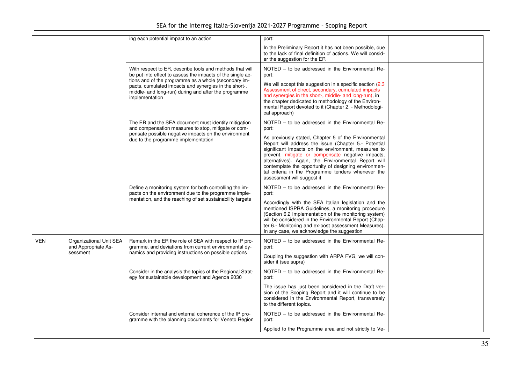| SEA for the Interreg Italia-Slovenija 2021-2027 Programme - Scoping Report |  |  |
|----------------------------------------------------------------------------|--|--|
|                                                                            |  |  |

| In the Preliminary Report it has not been possible, due<br>to the lack of final definition of actions. We will consid-<br>er the suggestion for the ER<br>NOTED - to be addressed in the Environmental Re-<br>With respect to ER, describe tools and methods that will<br>be put into effect to assess the impacts of the single ac-<br>port:<br>tions and of the programme as a whole (secondary im-<br>We will accept this suggestion in a specific section (2.3)<br>pacts, cumulated impacts and synergies in the short-,<br>Assessment of direct, secondary, cumulated impacts<br>middle- and long-run) during and after the programme<br>and synergies in the short-, middle- and long-run), in<br>implementation<br>the chapter dedicated to methodology of the Environ-<br>mental Report devoted to it (Chapter 2. - Methodologi-<br>cal approach)<br>NOTED - to be addressed in the Environmental Re-<br>The ER and the SEA document must identify mitigation<br>and compensation measures to stop, mitigate or com-<br>port:<br>pensate possible negative impacts on the environment<br>As previously stated, Chapter 5 of the Environmental<br>due to the programme implementation<br>Report will address the issue (Chapter 5 - Potential<br>significant impacts on the environment, measures to<br>prevent, mitigate or compensate negative impacts,<br>alternatives). Again, the Environmental Report will<br>contemplate the opportunity of designing environmen-<br>tal criteria in the Programme tenders whenever the<br>assessment will suggest it<br>NOTED - to be addressed in the Environmental Re-<br>Define a monitoring system for both controlling the im-<br>pacts on the environment due to the programme imple-<br>port:<br>mentation, and the reaching of set sustainability targets<br>Accordingly with the SEA Italian legislation and the<br>mentioned ISPRA Guidelines, a monitoring procedure<br>(Section 6.2 Implementation of the monitoring system)<br>will be considered in the Environmental Report (Chap-<br>ter 6.- Monitoring and ex-post assessment Measures).<br>In any case, we acknowledge the suggestion<br><b>VEN</b><br>Remark in the ER the role of SEA with respect to IP pro-<br>NOTED - to be addressed in the Environmental Re-<br>Organizational Unit SEA<br>and Appropriate As-<br>gramme, and deviations from current environmental dy-<br>port:<br>namics and providing instructions on possible options<br>sessment<br>Coupling the suggestion with ARPA FVG, we will con-<br>sider it (see supra)<br>NOTED - to be addressed in the Environmental Re-<br>Consider in the analysis the topics of the Regional Strat-<br>egy for sustainable development and Agenda 2030<br>port: |  | ing each potential impact to an action | port:                                                |  |
|--------------------------------------------------------------------------------------------------------------------------------------------------------------------------------------------------------------------------------------------------------------------------------------------------------------------------------------------------------------------------------------------------------------------------------------------------------------------------------------------------------------------------------------------------------------------------------------------------------------------------------------------------------------------------------------------------------------------------------------------------------------------------------------------------------------------------------------------------------------------------------------------------------------------------------------------------------------------------------------------------------------------------------------------------------------------------------------------------------------------------------------------------------------------------------------------------------------------------------------------------------------------------------------------------------------------------------------------------------------------------------------------------------------------------------------------------------------------------------------------------------------------------------------------------------------------------------------------------------------------------------------------------------------------------------------------------------------------------------------------------------------------------------------------------------------------------------------------------------------------------------------------------------------------------------------------------------------------------------------------------------------------------------------------------------------------------------------------------------------------------------------------------------------------------------------------------------------------------------------------------------------------------------------------------------------------------------------------------------------------------------------------------------------------------------------------------------------------------------------------------------------------------------------------------------------------------------------------------------------------------------------------------------------------------------------------------------------------------------------------|--|----------------------------------------|------------------------------------------------------|--|
|                                                                                                                                                                                                                                                                                                                                                                                                                                                                                                                                                                                                                                                                                                                                                                                                                                                                                                                                                                                                                                                                                                                                                                                                                                                                                                                                                                                                                                                                                                                                                                                                                                                                                                                                                                                                                                                                                                                                                                                                                                                                                                                                                                                                                                                                                                                                                                                                                                                                                                                                                                                                                                                                                                                                            |  |                                        |                                                      |  |
|                                                                                                                                                                                                                                                                                                                                                                                                                                                                                                                                                                                                                                                                                                                                                                                                                                                                                                                                                                                                                                                                                                                                                                                                                                                                                                                                                                                                                                                                                                                                                                                                                                                                                                                                                                                                                                                                                                                                                                                                                                                                                                                                                                                                                                                                                                                                                                                                                                                                                                                                                                                                                                                                                                                                            |  |                                        |                                                      |  |
|                                                                                                                                                                                                                                                                                                                                                                                                                                                                                                                                                                                                                                                                                                                                                                                                                                                                                                                                                                                                                                                                                                                                                                                                                                                                                                                                                                                                                                                                                                                                                                                                                                                                                                                                                                                                                                                                                                                                                                                                                                                                                                                                                                                                                                                                                                                                                                                                                                                                                                                                                                                                                                                                                                                                            |  |                                        |                                                      |  |
|                                                                                                                                                                                                                                                                                                                                                                                                                                                                                                                                                                                                                                                                                                                                                                                                                                                                                                                                                                                                                                                                                                                                                                                                                                                                                                                                                                                                                                                                                                                                                                                                                                                                                                                                                                                                                                                                                                                                                                                                                                                                                                                                                                                                                                                                                                                                                                                                                                                                                                                                                                                                                                                                                                                                            |  |                                        |                                                      |  |
|                                                                                                                                                                                                                                                                                                                                                                                                                                                                                                                                                                                                                                                                                                                                                                                                                                                                                                                                                                                                                                                                                                                                                                                                                                                                                                                                                                                                                                                                                                                                                                                                                                                                                                                                                                                                                                                                                                                                                                                                                                                                                                                                                                                                                                                                                                                                                                                                                                                                                                                                                                                                                                                                                                                                            |  |                                        |                                                      |  |
| sion of the Scoping Report and it will continue to be<br>considered in the Environmental Report, transversely<br>to the different topics.                                                                                                                                                                                                                                                                                                                                                                                                                                                                                                                                                                                                                                                                                                                                                                                                                                                                                                                                                                                                                                                                                                                                                                                                                                                                                                                                                                                                                                                                                                                                                                                                                                                                                                                                                                                                                                                                                                                                                                                                                                                                                                                                                                                                                                                                                                                                                                                                                                                                                                                                                                                                  |  |                                        | The issue has just been considered in the Draft ver- |  |
| NOTED - to be addressed in the Environmental Re-<br>Consider internal and external coherence of the IP pro-<br>gramme with the planning documents for Veneto Region<br>port:<br>Applied to the Programme area and not strictly to Ve-                                                                                                                                                                                                                                                                                                                                                                                                                                                                                                                                                                                                                                                                                                                                                                                                                                                                                                                                                                                                                                                                                                                                                                                                                                                                                                                                                                                                                                                                                                                                                                                                                                                                                                                                                                                                                                                                                                                                                                                                                                                                                                                                                                                                                                                                                                                                                                                                                                                                                                      |  |                                        |                                                      |  |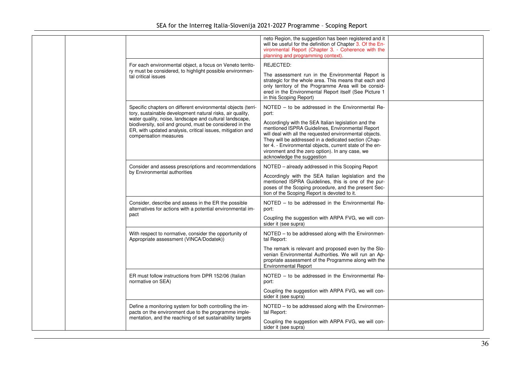|  |                                                                                                                                                                                                                                                                                                                                         | neto Region, the suggestion has been registered and it<br>will be useful for the definition of Chapter 3. Of the En-<br>vironmental Report (Chapter 3. - Coherence with the<br>planning and programming context).                                                                                                                                                                                                                     |  |
|--|-----------------------------------------------------------------------------------------------------------------------------------------------------------------------------------------------------------------------------------------------------------------------------------------------------------------------------------------|---------------------------------------------------------------------------------------------------------------------------------------------------------------------------------------------------------------------------------------------------------------------------------------------------------------------------------------------------------------------------------------------------------------------------------------|--|
|  | For each environmental object, a focus on Veneto territo-<br>ry must be considered, to highlight possible environmen-<br>tal critical issues                                                                                                                                                                                            | REJECTED:<br>The assessment run in the Environmental Report is<br>strategic for the whole area. This means that each and<br>only territory of the Programme Area will be consid-<br>ered in the Environmental Report itself (See Picture 1<br>in this Scoping Report)                                                                                                                                                                 |  |
|  | Specific chapters on different environmental objects (terri-<br>tory, sustainable development natural risks, air quality,<br>water quality, noise, landscape and cultural landscape,<br>biodiversity, soil and ground, must be considered in the<br>ER, with updated analysis, critical issues, mitigation and<br>compensation measures | NOTED – to be addressed in the Environmental Re-<br>port:<br>Accordingly with the SEA Italian legislation and the<br>mentioned ISPRA Guidelines, Environmental Report<br>will deal with all the requested environmental objects.<br>They will be addressed in a dedicated section (Chap-<br>ter 4. - Environmental objects, current state of the en-<br>vironment and the zero option). In any case, we<br>acknowledge the suggestion |  |
|  | Consider and assess prescriptions and recommendations<br>by Environmental authorities                                                                                                                                                                                                                                                   | NOTED - already addressed in this Scoping Report<br>Accordingly with the SEA Italian legislation and the<br>mentioned ISPRA Guidelines, this is one of the pur-<br>poses of the Scoping procedure, and the present Sec-<br>tion of the Scoping Report is devoted to it.                                                                                                                                                               |  |
|  | Consider, describe and assess in the ER the possible<br>alternatives for actions with a potential environmental im-<br>pact                                                                                                                                                                                                             | NOTED – to be addressed in the Environmental Re-<br>port:<br>Coupling the suggestion with ARPA FVG, we will con-<br>sider it (see supra)                                                                                                                                                                                                                                                                                              |  |
|  | With respect to normative, consider the opportunity of<br>Appropriate assessment (VINCA/Dodatek))                                                                                                                                                                                                                                       | NOTED - to be addressed along with the Environmen-<br>tal Report:<br>The remark is relevant and proposed even by the Slo-<br>venian Environmental Authorities. We will run an Ap-<br>propriate assessment of the Programme along with the<br><b>Environmental Report</b>                                                                                                                                                              |  |
|  | ER must follow instructions from DPR 152/06 (Italian<br>normative on SEA)                                                                                                                                                                                                                                                               | NOTED – to be addressed in the Environmental Re-<br>port:<br>Coupling the suggestion with ARPA FVG, we will con-<br>sider it (see supra)                                                                                                                                                                                                                                                                                              |  |
|  | Define a monitoring system for both controlling the im-<br>pacts on the environment due to the programme imple-<br>mentation, and the reaching of set sustainability targets                                                                                                                                                            | NOTED - to be addressed along with the Environmen-<br>tal Report:<br>Coupling the suggestion with ARPA FVG, we will con-<br>sider it (see supra)                                                                                                                                                                                                                                                                                      |  |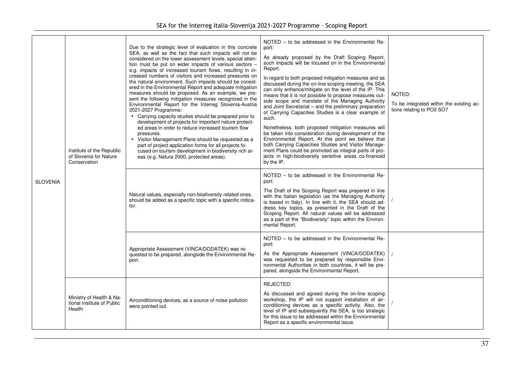|                 | Institute of the Republic<br>of Slovenia for Nature<br>Conservation | Due to the strategic level of evaluation in this concrete<br>SEA, as well as the fact that such impacts will not be<br>considered on the lower assessment levels, special atten-<br>tion must be put on wider impacts of various sectors -<br>e.g. impacts of increased tourism flows, resulting in in-<br>creased numbers of visitors and increased pressures on<br>the natural environment. Such impacts should be consid-<br>ered in the Environmental Report and adequate mitigation<br>measures should be proposed. As an example, we pre-<br>sent the following mitigation measures recognized in the<br>Environmental Report for the Interreg Slovenia-Austria<br>2021-2027 Programme:<br>• Carrying capacity studies should be prepared prior to<br>development of projects for important nature protect-<br>ed areas in order to reduce increased tourism flow<br>pressures.<br>• Visitor Management Plans should be requested as a<br>part of project application forms for all projects fo-<br>cused on tourism development in biodiversity rich ar-<br>eas (e.g. Natura 2000, protected areas). | NOTED – to be addressed in the Environmental Re-<br>port:<br>As already proposed by the Draft Scoping Report,<br>such impacts will be focused on in the Environmental<br>Report.<br>In regard to both proposed mitigation measures and as<br>discussed during the on-line scoping meeting, the SEA<br>can only enhance/mitigate on the level of the IP. This<br>means that it is not possible to propose measures out-<br>side scope and mandate of the Managing Authority<br>and Joint Secretariat - and the preliminary preparation<br>of Carrying Capacities Studies is a clear example of<br>such.<br>Nonetheless, both proposed mitigation measures will<br>be taken into consideration during development of the<br>Environmental Report. At this point we believe that<br>both Carrying Capacities Studies and Visitor Manage-<br>ment Plans could be promoted as integral parts of pro-<br>jects in high-biodiversity sensitive areas co-financed<br>by the IP. | NOTED:<br>To be integrated within the existing ac-<br>tions relating to PO2 SO7 |
|-----------------|---------------------------------------------------------------------|-------------------------------------------------------------------------------------------------------------------------------------------------------------------------------------------------------------------------------------------------------------------------------------------------------------------------------------------------------------------------------------------------------------------------------------------------------------------------------------------------------------------------------------------------------------------------------------------------------------------------------------------------------------------------------------------------------------------------------------------------------------------------------------------------------------------------------------------------------------------------------------------------------------------------------------------------------------------------------------------------------------------------------------------------------------------------------------------------------------|-------------------------------------------------------------------------------------------------------------------------------------------------------------------------------------------------------------------------------------------------------------------------------------------------------------------------------------------------------------------------------------------------------------------------------------------------------------------------------------------------------------------------------------------------------------------------------------------------------------------------------------------------------------------------------------------------------------------------------------------------------------------------------------------------------------------------------------------------------------------------------------------------------------------------------------------------------------------------|---------------------------------------------------------------------------------|
| <b>SLOVENIA</b> |                                                                     | Natural values, especially non-biodiversity related ones,<br>should be added as a specific topic with a specific indica-<br>tor.                                                                                                                                                                                                                                                                                                                                                                                                                                                                                                                                                                                                                                                                                                                                                                                                                                                                                                                                                                            | NOTED - to be addressed in the Environmental Re-<br>port:<br>The Draft of the Scoping Report was prepared in line<br>with the Italian legislation (as the Managing Authority<br>is based in Italy). In line with it, the SEA should ad-<br>dress key topics, as presented in the Draft of the<br>Scoping Report. All natural values will be addressed<br>as a part of the "Biodiversity" topic within the Environ-<br>mental Report.                                                                                                                                                                                                                                                                                                                                                                                                                                                                                                                                    |                                                                                 |
|                 |                                                                     | Appropriate Assessment (VINCA/DODATEK) was re-<br>quested to be prepared, alongside the Environmental Re-<br>port.                                                                                                                                                                                                                                                                                                                                                                                                                                                                                                                                                                                                                                                                                                                                                                                                                                                                                                                                                                                          | NOTED – to be addressed in the Environmental Re-<br>port:<br>As the Appropriate Assessment (VINCA/DODATEK)<br>was requested to be prepared by responsible Envi-<br>ronmental Authorities in both countries, it will be pre-<br>pared, alongside the Environmental Report.                                                                                                                                                                                                                                                                                                                                                                                                                                                                                                                                                                                                                                                                                               |                                                                                 |
|                 | Ministry of Health & Na-<br>tional Institute of Public<br>Health    | Airconditioning devices, as a source of noise pollution<br>were pointed out.                                                                                                                                                                                                                                                                                                                                                                                                                                                                                                                                                                                                                                                                                                                                                                                                                                                                                                                                                                                                                                | REJECTED:<br>As discussed and agreed during the on-line scoping<br>workshop, the IP will not support installation of air-<br>conditioning devices as a specific activity. Also, the<br>level of IP and subsequently the SEA, is too strategic<br>for this issue to be addressed within the Environmental<br>Report as a specific environmental issue.                                                                                                                                                                                                                                                                                                                                                                                                                                                                                                                                                                                                                   |                                                                                 |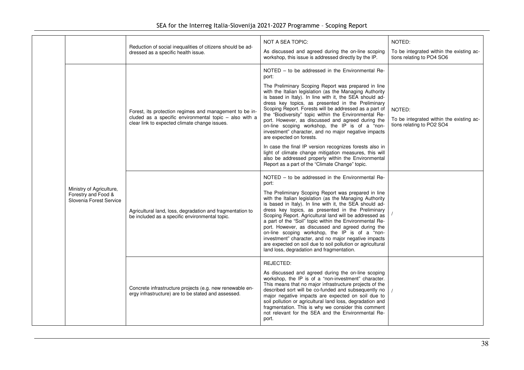|  |                                                                            | Reduction of social inequalities of citizens should be ad-<br>dressed as a specific health issue.                                                                  | <b>NOT A SEA TOPIC:</b><br>As discussed and agreed during the on-line scoping<br>workshop, this issue is addressed directly by the IP.                                                                                                                                                                                                                                                                                                                                                                                                                                                                                                                                                                                                                                                                                                   | NOTED:<br>To be integrated within the existing ac-<br>tions relating to PO4 SO6 |
|--|----------------------------------------------------------------------------|--------------------------------------------------------------------------------------------------------------------------------------------------------------------|------------------------------------------------------------------------------------------------------------------------------------------------------------------------------------------------------------------------------------------------------------------------------------------------------------------------------------------------------------------------------------------------------------------------------------------------------------------------------------------------------------------------------------------------------------------------------------------------------------------------------------------------------------------------------------------------------------------------------------------------------------------------------------------------------------------------------------------|---------------------------------------------------------------------------------|
|  |                                                                            | Forest, its protection regimes and management to be in-<br>cluded as a specific environmental topic - also with a<br>clear link to expected climate change issues. | NOTED – to be addressed in the Environmental Re-<br>port:<br>The Preliminary Scoping Report was prepared in line<br>with the Italian legislation (as the Managing Authority<br>is based in Italy). In line with it, the SEA should ad-<br>dress key topics, as presented in the Preliminary<br>Scoping Report. Forests will be addressed as a part of<br>the "Biodiversity" topic within the Environmental Re-<br>port. However, as discussed and agreed during the<br>on-line scoping workshop, the IP is of a "non-<br>investment" character, and no major negative impacts<br>are expected on forests.<br>In case the final IP version recognizes forests also in<br>light of climate change mitigation measures, this will<br>also be addressed properly within the Environmental<br>Report as a part of the "Climate Change" topic. | NOTED:<br>To be integrated within the existing ac-<br>tions relating to PO2 SO4 |
|  | Ministry of Agriculture,<br>Forestry and Food &<br>Slovenia Forest Service | Agricultural land, loss, degradation and fragmentation to<br>be included as a specific environmental topic.                                                        | NOTED – to be addressed in the Environmental Re-<br>port:<br>The Preliminary Scoping Report was prepared in line<br>with the Italian legislation (as the Managing Authority<br>is based in Italy). In line with it, the SEA should ad-<br>dress key topics, as presented in the Preliminary<br>Scoping Report. Agricultural land will be addressed as<br>a part of the "Soil" topic within the Environmental Re-<br>port. However, as discussed and agreed during the<br>on-line scoping workshop, the IP is of a "non-<br>investment" character, and no major negative impacts<br>are expected on soil due to soil pollution or agricultural<br>land loss, degradation and fragmentation.                                                                                                                                               |                                                                                 |
|  |                                                                            | Concrete infrastructure projects (e.g. new renewable en-<br>ergy infrastructure) are to be stated and assessed.                                                    | REJECTED:<br>As discussed and agreed during the on-line scoping<br>workshop, the IP is of a "non-investment" character.<br>This means that no major infrastructure projects of the<br>described sort will be co-funded and subsequently no<br>major negative impacts are expected on soil due to<br>soil pollution or agricultural land loss, degradation and<br>fragmentation. This is why we consider this comment<br>not relevant for the SEA and the Environmental Re-<br>port.                                                                                                                                                                                                                                                                                                                                                      |                                                                                 |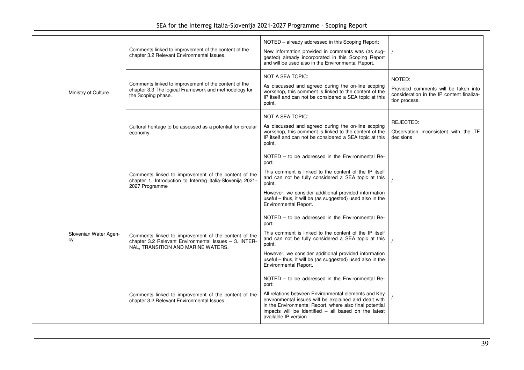|  |                             | Comments linked to improvement of the content of the<br>chapter 3.2 Relevant Environmental Issues.                                                  | NOTED - already addressed in this Scoping Report:<br>New information provided in comments was (as sug-<br>gested) already incorporated in this Scoping Report<br>and will be used also in the Environmental Report.                                                                                                                |                                                                                                              |
|--|-----------------------------|-----------------------------------------------------------------------------------------------------------------------------------------------------|------------------------------------------------------------------------------------------------------------------------------------------------------------------------------------------------------------------------------------------------------------------------------------------------------------------------------------|--------------------------------------------------------------------------------------------------------------|
|  | Ministry of Culture         | Comments linked to improvement of the content of the<br>chapter 3.3 The logical Framework and methodology for<br>the Scoping phase.                 | NOT A SEA TOPIC:<br>As discussed and agreed during the on-line scoping<br>workshop, this comment is linked to the content of the<br>IP itself and can not be considered a SEA topic at this<br>point.                                                                                                                              | NOTED:<br>Provided comments will be taken into<br>consideration in the IP content finaliza-<br>tion process. |
|  |                             | Cultural heritage to be assessed as a potential for circular<br>economy.                                                                            | <b>NOT A SEA TOPIC:</b><br>As discussed and agreed during the on-line scoping<br>workshop, this comment is linked to the content of the<br>IP itself and can not be considered a SEA topic at this<br>point.                                                                                                                       | REJECTED:<br>Observation inconsistent with the TF<br>decisions                                               |
|  | Slovenian Water Agen-<br>cy | Comments linked to improvement of the content of the<br>chapter 1. Introduction to Interreg Italia-Slovenija 2021-<br>2027 Programme                | NOTED - to be addressed in the Environmental Re-<br>port:<br>This comment is linked to the content of the IP itself<br>and can not be fully considered a SEA topic at this<br>point.<br>However, we consider additional provided information<br>useful - thus, it will be (as suggested) used also in the<br>Environmental Report. |                                                                                                              |
|  |                             | Comments linked to improvement of the content of the<br>chapter 3.2 Relevant Environmental Issues - 3. INTER-<br>NAL, TRANSITION AND MARINE WATERS. | NOTED - to be addressed in the Environmental Re-<br>port:<br>This comment is linked to the content of the IP itself<br>and can not be fully considered a SEA topic at this<br>point.<br>However, we consider additional provided information<br>useful - thus, it will be (as suggested) used also in the<br>Environmental Report. |                                                                                                              |
|  |                             | Comments linked to improvement of the content of the<br>chapter 3.2 Relevant Environmental Issues                                                   | NOTED – to be addressed in the Environmental Re-<br>port:<br>All relations between Environmental elements and Key<br>environmental issues will be explained and dealt with<br>in the Environmental Report, where also final potential<br>impacts will be identified - all based on the latest<br>available IP version.             |                                                                                                              |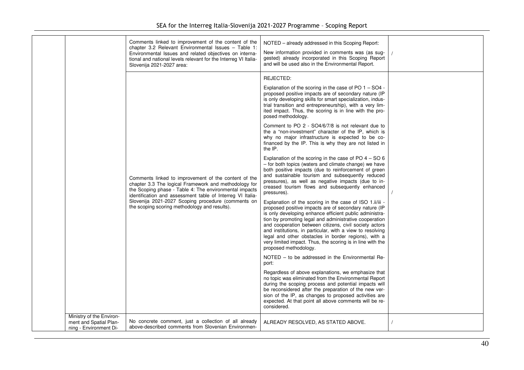|                                                  | Comments linked to improvement of the content of the<br>chapter 3.2 Relevant Environmental Issues - Table 1:<br>Environmental Issues and related objectives on interna-<br>tional and national levels relevant for the Interreg VI Italia-<br>Slovenija 2021-2027 area:                                                                      | NOTED - already addressed in this Scoping Report:<br>New information provided in comments was (as sug-<br>gested) already incorporated in this Scoping Report<br>and will be used also in the Environmental Report.                                                                                                                                                                                                                                                                                                                                                                                                                                                                                                                                                                                                                                                                                                                                                                                                                                                                                                                                                                                                                                                                                                                                                                                                                                                                                                                                                                                                                                                                                                                                                                                                                                                                      |  |
|--------------------------------------------------|----------------------------------------------------------------------------------------------------------------------------------------------------------------------------------------------------------------------------------------------------------------------------------------------------------------------------------------------|------------------------------------------------------------------------------------------------------------------------------------------------------------------------------------------------------------------------------------------------------------------------------------------------------------------------------------------------------------------------------------------------------------------------------------------------------------------------------------------------------------------------------------------------------------------------------------------------------------------------------------------------------------------------------------------------------------------------------------------------------------------------------------------------------------------------------------------------------------------------------------------------------------------------------------------------------------------------------------------------------------------------------------------------------------------------------------------------------------------------------------------------------------------------------------------------------------------------------------------------------------------------------------------------------------------------------------------------------------------------------------------------------------------------------------------------------------------------------------------------------------------------------------------------------------------------------------------------------------------------------------------------------------------------------------------------------------------------------------------------------------------------------------------------------------------------------------------------------------------------------------------|--|
| Ministry of the Environ-                         | Comments linked to improvement of the content of the<br>chapter 3.3 The logical Framework and methodology for<br>the Scoping phase - Table 4: The environmental impacts<br>identification and assessment table of Interreg VI Italia-<br>Slovenija 2021-2027 Scoping procedure (comments on<br>the scoping scoring methodology and results). | REJECTED:<br>Explanation of the scoring in the case of PO 1 - SO4 -<br>proposed positive impacts are of secondary nature (IP<br>is only developing skills for smart specialization, indus-<br>trial transition and entrepreneurship), with a very lim-<br>ited impact. Thus, the scoring is in line with the pro-<br>posed methodology.<br>Comment to PO 2 - SO4/6/7/8 is not relevant due to<br>the a "non-investment" character of the IP, which is<br>why no major infrastructure is expected to be co-<br>financed by the IP. This is why they are not listed in<br>the IP.<br>Explanation of the scoring in the case of PO $4 - SO6$<br>- for both topics (waters and climate change) we have<br>both positive impacts (due to reinforcement of green<br>and sustainable tourism and subsequently reduced<br>pressures), as well as negative impacts (due to in-<br>creased tourism flows and subsequently enhanced<br>pressures).<br>Explanation of the scoring in the case of ISO 1.ii/iii -<br>proposed positive impacts are of secondary nature (IP<br>is only developing enhance efficient public administra-<br>tion by promoting legal and administrative cooperation<br>and cooperation between citizens, civil society actors<br>and institutions, in particular, with a view to resolving<br>legal and other obstacles in border regions), with a<br>very limited impact. Thus, the scoring is in line with the<br>proposed methodology.<br>NOTED – to be addressed in the Environmental Re-<br>port:<br>Regardless of above explanations, we emphasize that<br>no topic was eliminated from the Environmental Report<br>during the scoping process and potential impacts will<br>be reconsidered after the preparation of the new ver-<br>sion of the IP, as changes to proposed activities are<br>expected. At that point all above comments will be re-<br>considered. |  |
| ment and Spatial Plan-<br>ning - Environment Di- | No concrete comment, just a collection of all already<br>above-described comments from Slovenian Environmen-                                                                                                                                                                                                                                 | ALREADY RESOLVED, AS STATED ABOVE.                                                                                                                                                                                                                                                                                                                                                                                                                                                                                                                                                                                                                                                                                                                                                                                                                                                                                                                                                                                                                                                                                                                                                                                                                                                                                                                                                                                                                                                                                                                                                                                                                                                                                                                                                                                                                                                       |  |